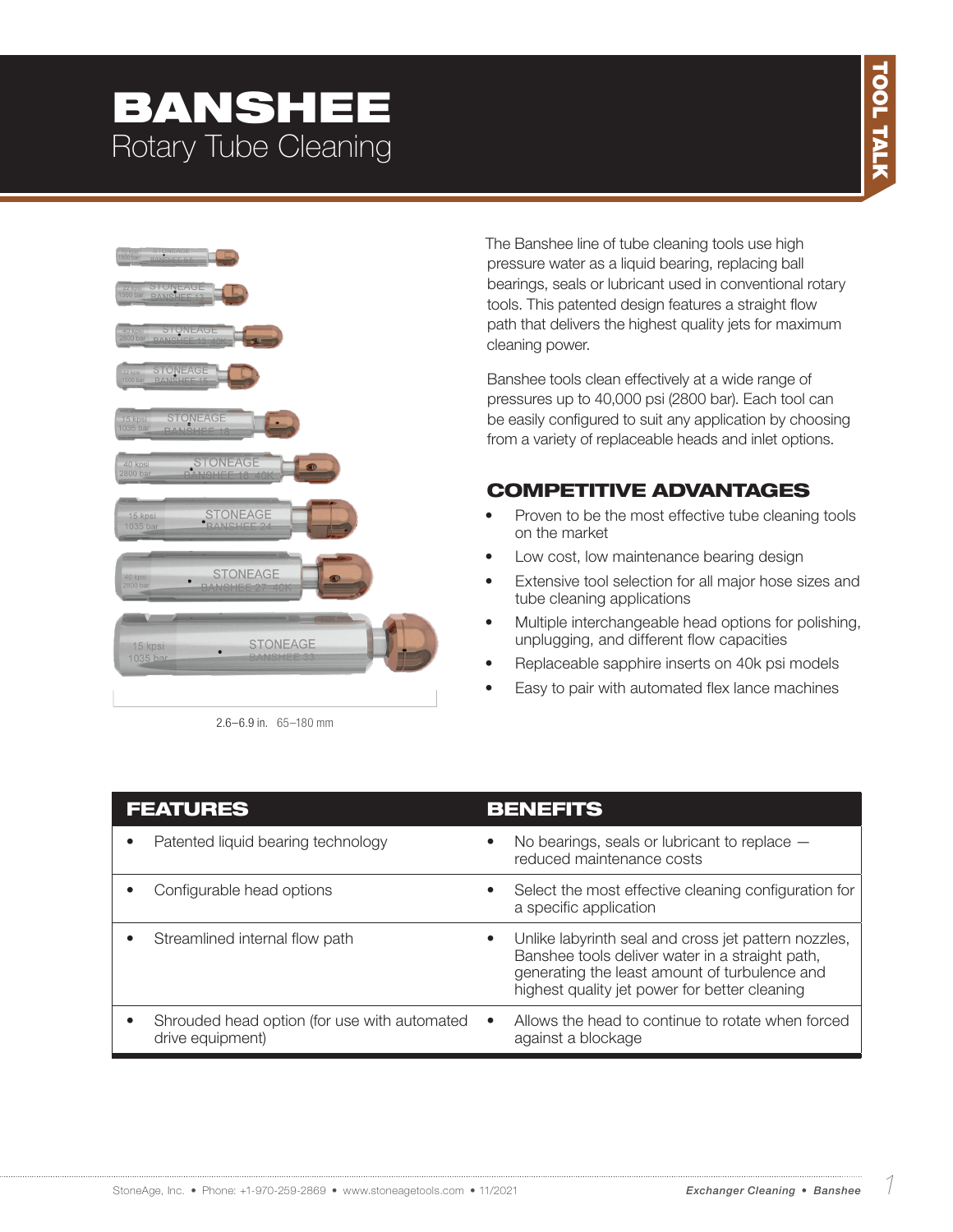# BANSHEE Rotary Tube Cleaning



2.6–6.9 in. 65–180 mm

The Banshee line of tube cleaning tools use high pressure water as a liquid bearing, replacing ball bearings, seals or lubricant used in conventional rotary tools. This patented design features a straight flow path that delivers the highest quality jets for maximum cleaning power.

Banshee tools clean effectively at a wide range of pressures up to 40,000 psi (2800 bar). Each tool can be easily configured to suit any application by choosing from a variety of replaceable heads and inlet options.

### COMPETITIVE ADVANTAGES

- Proven to be the most effective tube cleaning tools on the market
- Low cost, low maintenance bearing design
- Extensive tool selection for all major hose sizes and tube cleaning applications
- Multiple interchangeable head options for polishing, unplugging, and different flow capacities
- Replaceable sapphire inserts on 40k psi models
- Easy to pair with automated flex lance machines

| <b>FEATURES</b>                                                  | <b>BENEFITS</b>                                                                                                                                                                                                        |
|------------------------------------------------------------------|------------------------------------------------------------------------------------------------------------------------------------------------------------------------------------------------------------------------|
| Patented liquid bearing technology                               | No bearings, seals or lubricant to replace $-$<br>$\bullet$<br>reduced maintenance costs                                                                                                                               |
| Configurable head options                                        | Select the most effective cleaning configuration for<br>$\bullet$<br>a specific application                                                                                                                            |
| Streamlined internal flow path                                   | Unlike labyrinth seal and cross jet pattern nozzles,<br>$\bullet$<br>Banshee tools deliver water in a straight path,<br>generating the least amount of turbulence and<br>highest quality jet power for better cleaning |
| Shrouded head option (for use with automated<br>drive equipment) | Allows the head to continue to rotate when forced<br>$\bullet$<br>against a blockage                                                                                                                                   |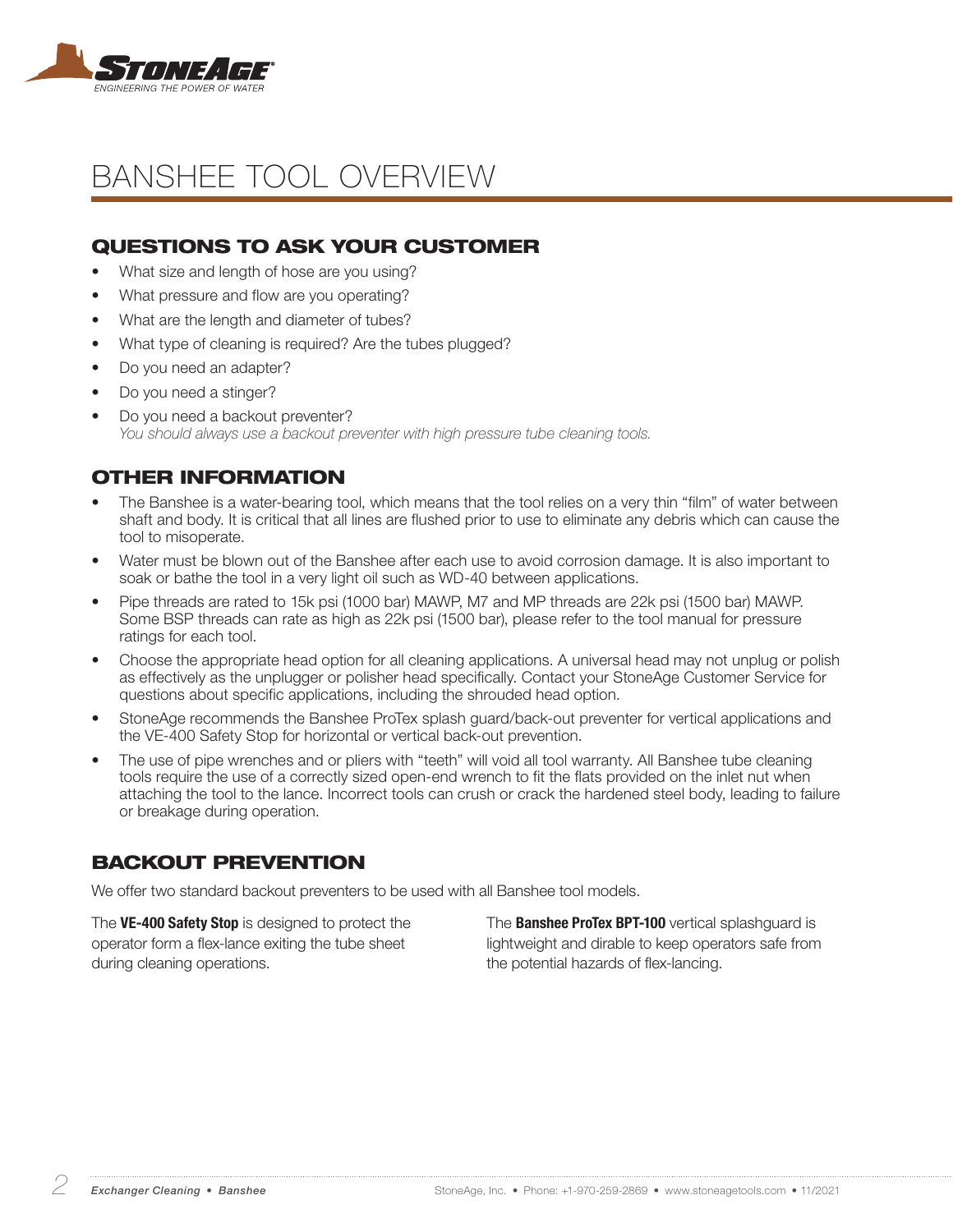

# BANSHEE TOOL OVERVIEW

### QUESTIONS TO ASK YOUR CUSTOMER

- What size and length of hose are you using?
- What pressure and flow are you operating?
- What are the length and diameter of tubes?
- What type of cleaning is required? Are the tubes plugged?
- Do you need an adapter?
- Do you need a stinger?
- Do you need a backout preventer? *You should always use a backout preventer with high pressure tube cleaning tools.*

### OTHER INFORMATION

- The Banshee is a water-bearing tool, which means that the tool relies on a very thin "film" of water between shaft and body. It is critical that all lines are flushed prior to use to eliminate any debris which can cause the tool to misoperate.
- Water must be blown out of the Banshee after each use to avoid corrosion damage. It is also important to soak or bathe the tool in a very light oil such as WD-40 between applications.
- Pipe threads are rated to 15k psi (1000 bar) MAWP, M7 and MP threads are 22k psi (1500 bar) MAWP. Some BSP threads can rate as high as 22k psi (1500 bar), please refer to the tool manual for pressure ratings for each tool.
- Choose the appropriate head option for all cleaning applications. A universal head may not unplug or polish as effectively as the unplugger or polisher head specifically. Contact your StoneAge Customer Service for questions about specific applications, including the shrouded head option.
- StoneAge recommends the Banshee ProTex splash guard/back-out preventer for vertical applications and the VE-400 Safety Stop for horizontal or vertical back-out prevention.
- The use of pipe wrenches and or pliers with "teeth" will void all tool warranty. All Banshee tube cleaning tools require the use of a correctly sized open-end wrench to fit the flats provided on the inlet nut when attaching the tool to the lance. Incorrect tools can crush or crack the hardened steel body, leading to failure or breakage during operation.

### BACKOUT PREVENTION

We offer two standard backout preventers to be used with all Banshee tool models.

The VE-400 Safety Stop is designed to protect the operator form a flex-lance exiting the tube sheet during cleaning operations.

The **Banshee ProTex BPT-100** vertical splashguard is lightweight and dirable to keep operators safe from the potential hazards of flex-lancing.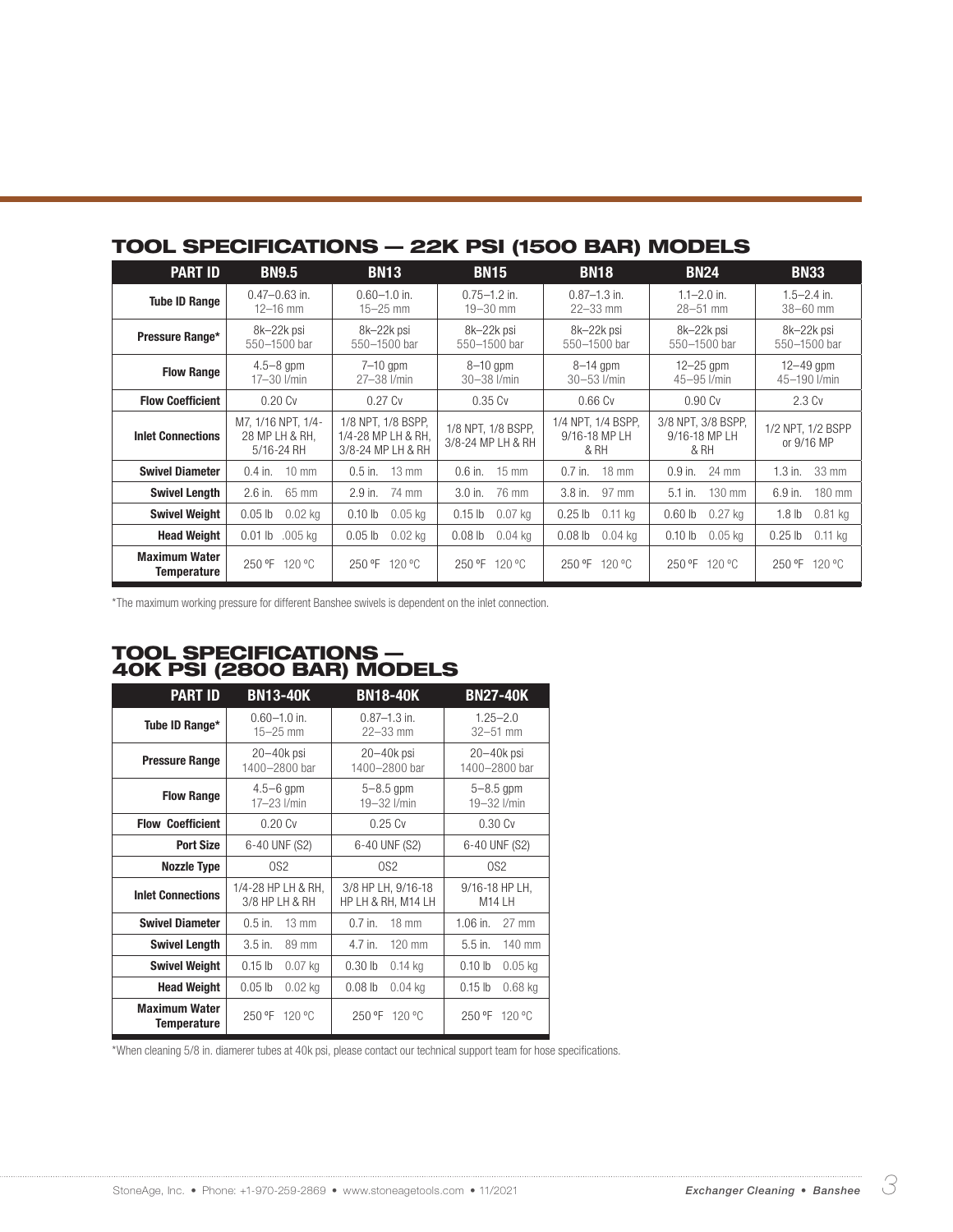| TUUL SPECIFICATIUNS — ZZN FSI (1900 DAN) MUDELS |                                                    |                                                               |                                         |                                             |                                             |                                 |
|-------------------------------------------------|----------------------------------------------------|---------------------------------------------------------------|-----------------------------------------|---------------------------------------------|---------------------------------------------|---------------------------------|
| <b>PART ID</b>                                  | <b>BN9.5</b>                                       | <b>BN13</b>                                                   | <b>BN15</b>                             | <b>BN18</b>                                 | <b>BN24</b>                                 | <b>BN33</b>                     |
| <b>Tube ID Range</b>                            | $0.47 - 0.63$ in.                                  | $0.60 - 1.0$ in.                                              | $0.75 - 1.2$ in.                        | $0.87 - 1.3$ in.                            | $1.1 - 2.0$ in.                             | $1.5 - 2.4$ in.                 |
|                                                 | $12 - 16$ mm                                       | $15 - 25$ mm                                                  | $19 - 30$ mm                            | $22 - 33$ mm                                | $28 - 51$ mm                                | $38 - 60$ mm                    |
| Pressure Range*                                 | 8k-22k psi                                         | 8k-22k psi                                                    | 8k-22k psi                              | 8k-22k psi                                  | 8k-22k psi                                  | 8k-22k psi                      |
|                                                 | 550-1500 bar                                       | 550-1500 bar                                                  | 550-1500 bar                            | 550-1500 bar                                | 550-1500 bar                                | 550-1500 bar                    |
| <b>Flow Range</b>                               | $4.5 - 8$ gpm                                      | $7-10$ gpm                                                    | $8-10$ gpm                              | $8-14$ gpm                                  | $12-25$ gpm                                 | $12-49$ gpm                     |
|                                                 | $17 - 30$ I/min                                    | 27-38 l/min                                                   | $30 - 38$ $1/min$                       | $30 - 53$ $1/min$                           | 45-95 l/min                                 | 45-190 l/min                    |
| <b>Flow Coefficient</b>                         | 0.20Cv                                             | 0.27Cv                                                        | 0.35Cv                                  | 0.66 Cv                                     | 0.90Cv                                      | 2.3 Cv                          |
| <b>Inlet Connections</b>                        | M7, 1/16 NPT, 1/4-<br>28 MP LH & RH.<br>5/16-24 RH | 1/8 NPT, 1/8 BSPP,<br>1/4-28 MP LH & RH,<br>3/8-24 MP LH & RH | 1/8 NPT, 1/8 BSPP,<br>3/8-24 MP LH & RH | 1/4 NPT, 1/4 BSPP,<br>9/16-18 MP LH<br>& RH | 3/8 NPT, 3/8 BSPP,<br>9/16-18 MP LH<br>& RH | 1/2 NPT, 1/2 BSPP<br>or 9/16 MP |
| <b>Swivel Diameter</b>                          | $10 \text{ mm}$                                    | $13 \text{ mm}$                                               | $15 \text{ mm}$                         | $18 \text{ mm}$                             | 24 mm                                       | 33 mm                           |
|                                                 | $0.4$ in.                                          | $0.5$ in.                                                     | $0.6$ in.                               | $0.7$ in.                                   | $0.9$ in.                                   | $1.3$ in.                       |
| <b>Swivel Length</b>                            | $2.6$ in.                                          | 74 mm                                                         | $3.0$ in.                               | $3.8$ in.                                   | 130 mm                                      | 6.9 in.                         |
|                                                 | 65 mm                                              | $2.9$ in.                                                     | 76 mm                                   | 97 mm                                       | $5.1$ in.                                   | 180 mm                          |
| <b>Swivel Weight</b>                            | $0.02$ kg                                          | $0.05$ kg                                                     | $0.15$ lb                               | $0.25$ lb                                   | 0.60 <sub>lb</sub>                          | $0.81$ kg                       |
|                                                 | 0.05 <sub>lb</sub>                                 | 0.10 <sub>lb</sub>                                            | $0.07$ kg                               | $0.11$ kg                                   | $0.27$ kg                                   | 1.8 <sub>lb</sub>               |
| <b>Head Weight</b>                              | $.005$ kg                                          | $0.02$ kg                                                     | 0.08 <sub>lb</sub>                      | $0.08$ lb                                   | 0.10 <sub>lb</sub>                          | $0.11$ kg                       |
|                                                 | $0.01$ lb                                          | 0.05 <sub>lb</sub>                                            | $0.04$ kg                               | $0.04$ kg                                   | $0.05$ kg                                   | $0.25$ lb                       |
| <b>Maximum Water</b><br><b>Temperature</b>      | 250 °F 120 °C                                      | 250 °F 120 °C                                                 | 250 °F 120 °C                           | 250 °F<br>120 °C                            | 250 °F<br>120 °C                            | 250 °F<br>120 °C                |

### TOOL SPECIFICATIONS — 22K PSI (1500 BAR) MODELS

\*The maximum working pressure for different Banshee swivels is dependent on the inlet connection.

#### TOOL SPECIFICATIONS — 40K PSI (2800 BAR) MODELS

| <b>PART ID</b>           | <b>BN13-40K</b>    | <b>BN18-40K</b>    | <b>BN27-40K</b>    |
|--------------------------|--------------------|--------------------|--------------------|
| Tube ID Range*           | $0.60 - 1.0$ in.   | $0.87 - 1.3$ in.   | $1.25 - 2.0$       |
|                          | $15 - 25$ mm       | $22 - 33$ mm       | $32 - 51$ mm       |
| <b>Pressure Range</b>    | $20 - 40k$ psi     | $20 - 40k$ psi     | $20 - 40k$ psi     |
|                          | 1400-2800 bar      | 1400-2800 bar      | 1400-2800 bar      |
| <b>Flow Range</b>        | $4.5 - 6$ gpm      | $5 - 8.5$ gpm      | $5 - 8.5$ gpm      |
|                          | 17-23 l/min        | 19-32 l/min        | 19-32 l/min        |
| <b>Flow Coefficient</b>  | 0.20Cv             | 0.25C              | 0.30 Cv            |
| <b>Port Size</b>         | 6-40 UNF (S2)      | 6-40 UNF (S2)      | 6-40 UNF (S2)      |
| <b>Nozzle Type</b>       | OS <sub>2</sub>    | OS2                | OS <sub>2</sub>    |
| <b>Inlet Connections</b> | 1/4-28 HP LH & RH, | 3/8 HP LH, 9/16-18 | 9/16-18 HP LH,     |
|                          | 3/8 HP LH & RH     | HP LH & RH, M14 LH | M <sub>14</sub> LH |
| <b>Swivel Diameter</b>   | $0.5$ in.          | $0.7$ in.          | $1.06$ in.         |
|                          | $13 \text{ mm}$    | $18 \text{ mm}$    | $27$ mm            |
| <b>Swivel Length</b>     | $3.5$ in.          | 4.7 in.            | $5.5$ in.          |
|                          | 89 mm              | $120$ mm           | 140 mm             |
| <b>Swivel Weight</b>     | $0.15$ lb          | $0.30$ lb          | 0.10 <sub>h</sub>  |
|                          | $0.07$ kg          | $0.14$ kg          | $0.05$ kg          |
| <b>Head Weight</b>       | $0.05$ lb          | $0.08$ lb          | $0.15$ lb          |
|                          | $0.02$ kg          | $0.04$ kg          | $0.68$ kg          |
| <b>Maximum Water</b>     | 250 °F             | 250 °F             | 250 °F             |
| Temperature              | 120 °C             | 120 °C             | 120 °C             |

\*When cleaning 5/8 in. diamerer tubes at 40k psi, please contact our technical support team for hose specifications.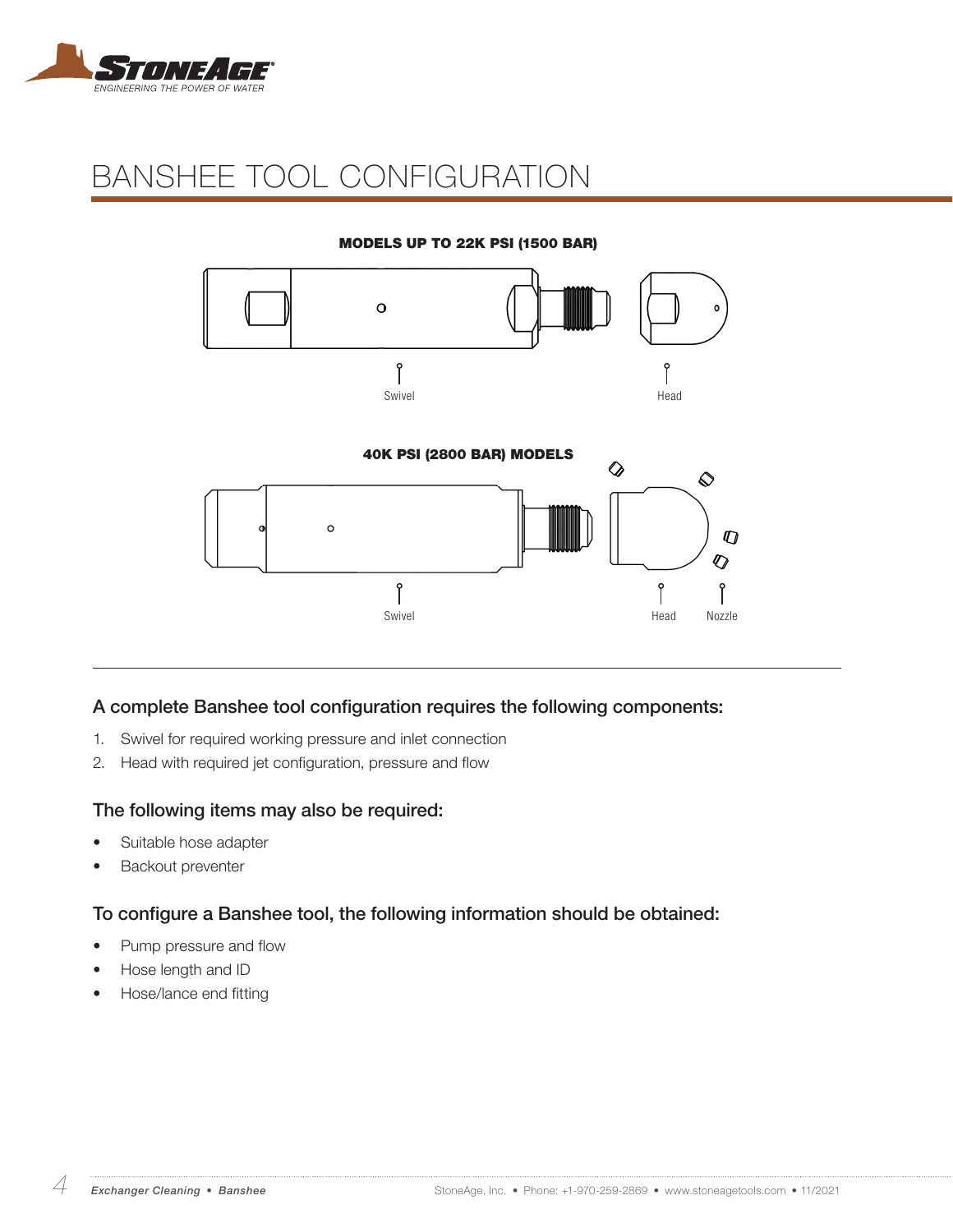

# BANSHEE TOOL CONFIGURATION

#### MODELS UP TO 22K PSI (1500 BAR)



#### A complete Banshee tool configuration requires the following components:

- 1. Swivel for required working pressure and inlet connection
- 2. Head with required jet configuration, pressure and flow

#### The following items may also be required:

- Suitable hose adapter
- Backout preventer

#### To configure a Banshee tool, the following information should be obtained:

- Pump pressure and flow
- Hose length and ID
- Hose/lance end fitting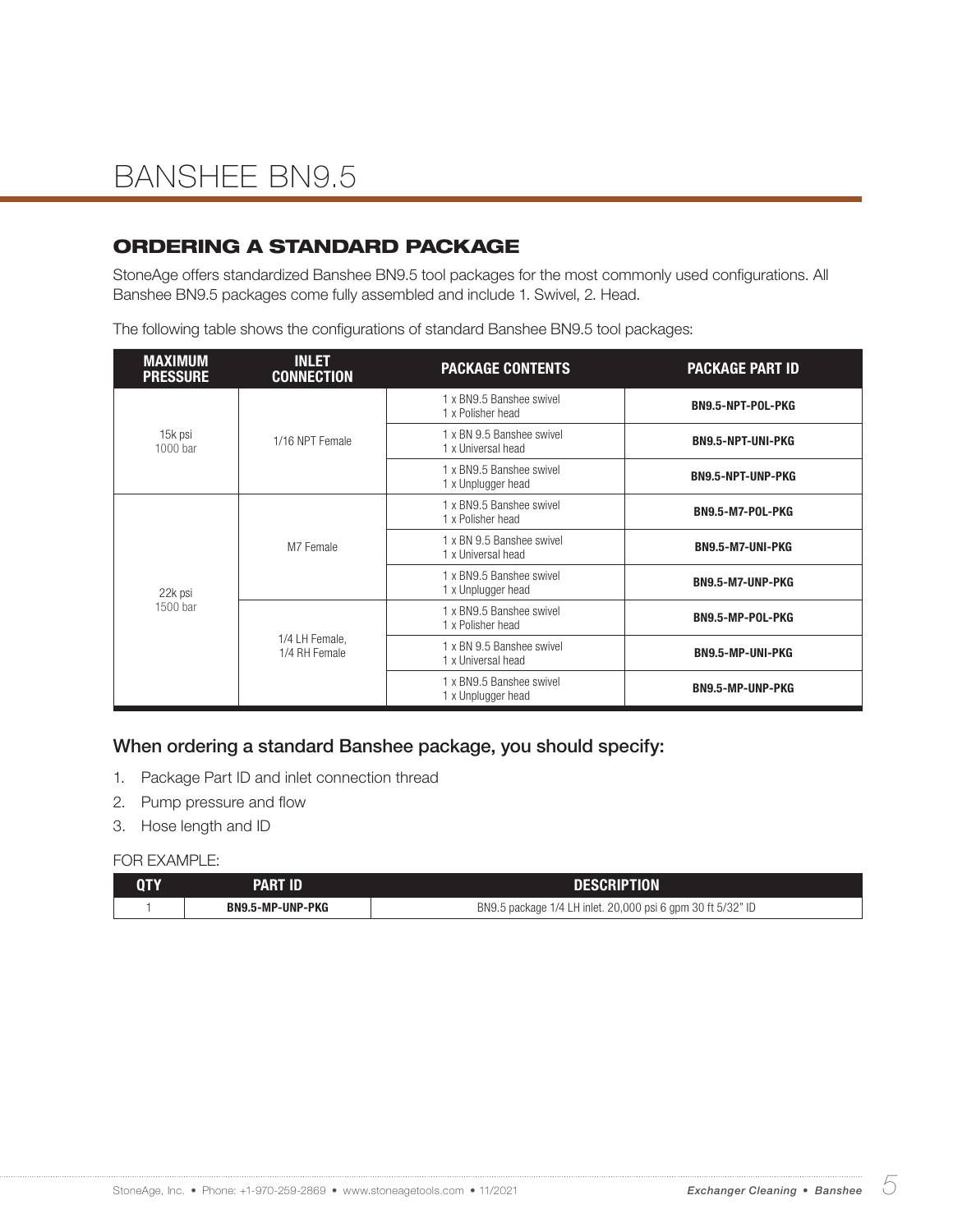### ORDERING A STANDARD PACKAGE

StoneAge offers standardized Banshee BN9.5 tool packages for the most commonly used configurations. All Banshee BN9.5 packages come fully assembled and include 1. Swivel, 2. Head.

The following table shows the configurations of standard Banshee BN9.5 tool packages:

| <b>MAXIMUM</b><br><b>PRESSURE</b> | <b>INLET</b><br><b>CONNECTION</b> | <b>PACKAGE CONTENTS</b>                         | <b>PACKAGE PART ID</b>   |
|-----------------------------------|-----------------------------------|-------------------------------------------------|--------------------------|
|                                   |                                   | 1 x BN9.5 Banshee swivel<br>1 x Polisher head   | BN9.5-NPT-POL-PKG        |
| 15k psi<br>1000 bar               | 1/16 NPT Female                   | 1 x BN 9.5 Banshee swivel<br>1 x Universal head | <b>BN9.5-NPT-UNI-PKG</b> |
|                                   |                                   | 1 x BN9.5 Banshee swivel<br>1 x Unplugger head  | <b>BN9.5-NPT-UNP-PKG</b> |
|                                   | M7 Female                         | 1 x BN9.5 Banshee swivel<br>1 x Polisher head   | BN9.5-M7-POL-PKG         |
|                                   |                                   | 1 x BN 9.5 Banshee swivel<br>1 x Universal head | BN9.5-M7-UNI-PKG         |
| 22k psi<br>1500 bar               |                                   | 1 x BN9.5 Banshee swivel<br>1 x Unplugger head  | BN9.5-M7-UNP-PKG         |
|                                   |                                   | 1 x BN9.5 Banshee swivel<br>1 x Polisher head   | BN9.5-MP-POL-PKG         |
|                                   | 1/4 LH Female,<br>1/4 RH Female   | 1 x BN 9.5 Banshee swivel<br>1 x Universal head | <b>BN9.5-MP-UNI-PKG</b>  |
|                                   |                                   | 1 x BN9.5 Banshee swivel<br>1 x Unplugger head  | <b>BN9.5-MP-UNP-PKG</b>  |

#### When ordering a standard Banshee package, you should specify:

- 1. Package Part ID and inlet connection thread
- 2. Pump pressure and flow
- 3. Hose length and ID

| QTY | <b>PART ID</b>   | <b>DESCRIPTION</b>                                          |
|-----|------------------|-------------------------------------------------------------|
|     | BN9.5-MP-UNP-PKG | BN9.5 package 1/4 LH inlet. 20,000 psi 6 gpm 30 ft 5/32" ID |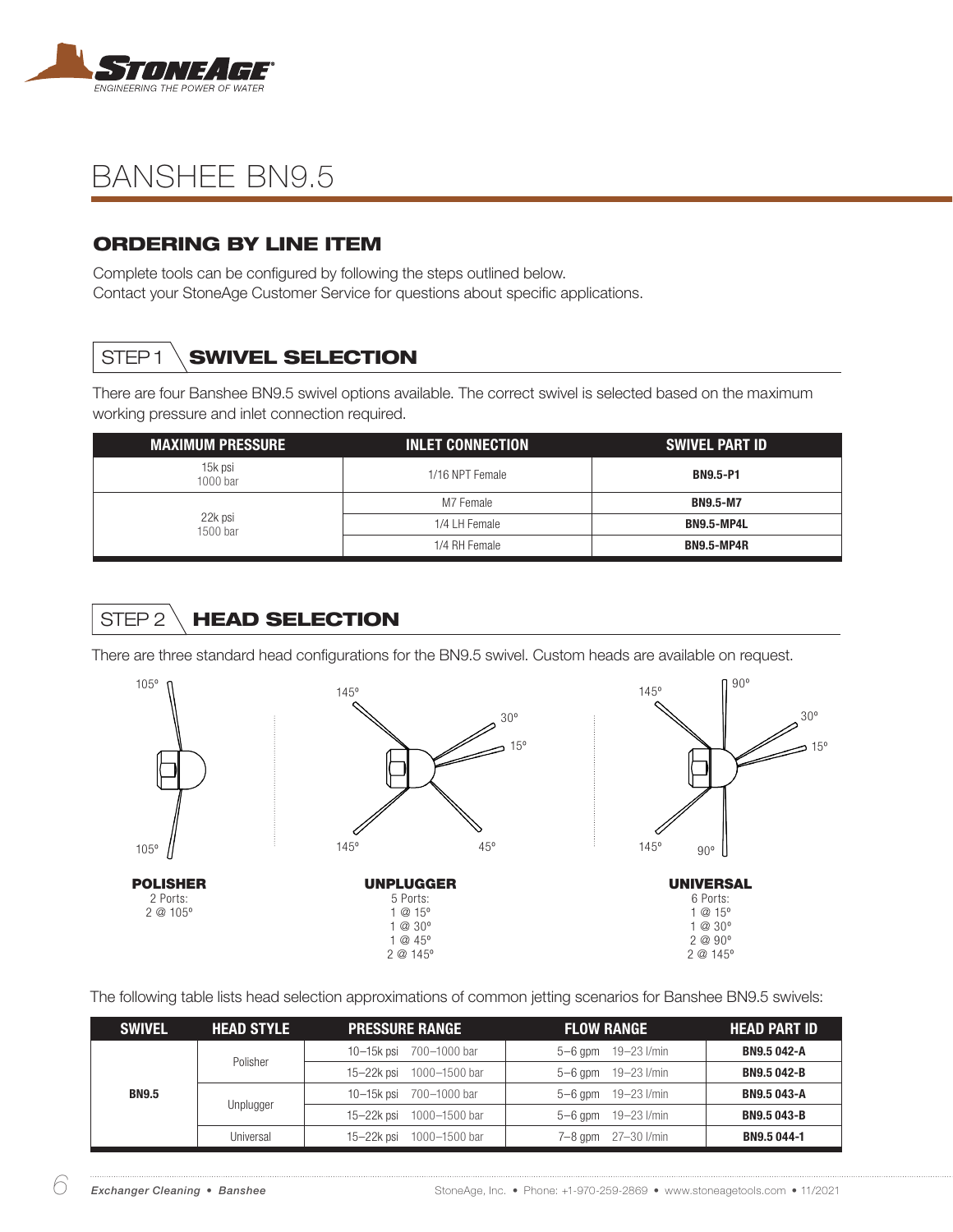

### ORDERING BY LINE ITEM

Complete tools can be configured by following the steps outlined below. Contact your StoneAge Customer Service for questions about specific applications.

## STEP1 **SWIVEL SELECTION**

There are four Banshee BN9.5 swivel options available. The correct swivel is selected based on the maximum working pressure and inlet connection required.

| <b>MAXIMUM PRESSURE</b> | <b>INLET CONNECTION</b> | <b>SWIVEL PART ID</b> |
|-------------------------|-------------------------|-----------------------|
| 15k psi<br>1000 bar     | 1/16 NPT Female         | <b>BN9.5-P1</b>       |
| 22k psi<br>1500 bar     | M7 Female               | <b>BN9.5-M7</b>       |
|                         | 1/4 LH Female           | BN9.5-MP4L            |
|                         | 1/4 RH Female           | <b>BN9.5-MP4R</b>     |

# STEP 2 HEAD SELECTION

There are three standard head configurations for the BN9.5 swivel. Custom heads are available on request.



The following table lists head selection approximations of common jetting scenarios for Banshee BN9.5 swivels:

| <b>SWIVEL</b> | <b>HEAD STYLE</b> | <b>PRESSURE RANGE</b>    | <b>FLOW RANGE</b>           | <b>HEAD PART ID</b> |
|---------------|-------------------|--------------------------|-----------------------------|---------------------|
| <b>BN9.5</b>  | Polisher          | 10-15k psi 700-1000 bar  | $5 - 6$ gpm $19 - 23$ l/min | <b>BN9.5 042-A</b>  |
|               |                   | 15-22k psi 1000-1500 bar | $5 - 6$ gpm $19 - 23$ I/min | <b>BN9.5042-B</b>   |
|               |                   | 10-15k psi 700-1000 bar  | $5 - 6$ gpm $19 - 23$ I/min | <b>BN9.5 043-A</b>  |
|               | Unplugger         | 15-22k psi 1000-1500 bar | $5 - 6$ gpm $19 - 23$ I/min | <b>BN9.5043-B</b>   |
|               | Universal         | 15-22k psi 1000-1500 bar | 7-8 gpm 27-30 l/min         | <b>BN9.5 044-1</b>  |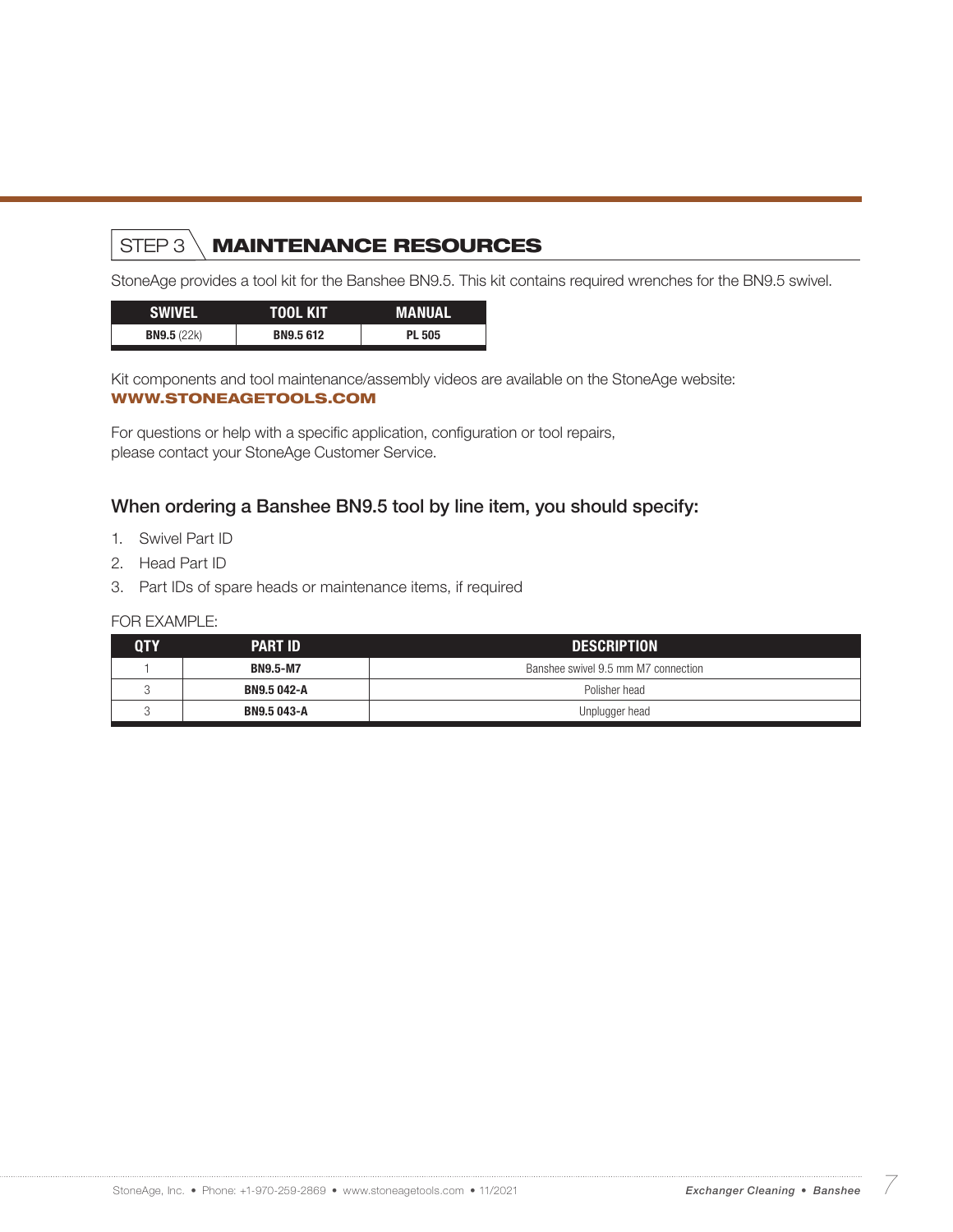## STEP 3 MAINTENANCE RESOURCES

StoneAge provides a tool kit for the Banshee BN9.5. This kit contains required wrenches for the BN9.5 swivel.

| <b>ISWIVEL</b>       | TOOL KIT         | <b>MANUAL</b> |
|----------------------|------------------|---------------|
| <b>BN9.5</b> $(22k)$ | <b>BN9.5 612</b> | <b>PL 505</b> |

Kit components and tool maintenance/assembly videos are available on the StoneAge website: WWW.STONEAGETOOLS.COM

For questions or help with a specific application, configuration or tool repairs, please contact your StoneAge Customer Service.

#### When ordering a Banshee BN9.5 tool by line item, you should specify:

- 1. Swivel Part ID
- 2. Head Part ID
- 3. Part IDs of spare heads or maintenance items, if required

| QTY | <b>PART ID</b>  | <b>DESCRIPTION</b>                  |  |
|-----|-----------------|-------------------------------------|--|
|     | <b>BN9.5-M7</b> | Banshee swivel 9.5 mm M7 connection |  |
|     | BN9.5 042-A     | Polisher head                       |  |
|     | BN9.5 043-A     | Unplugger head                      |  |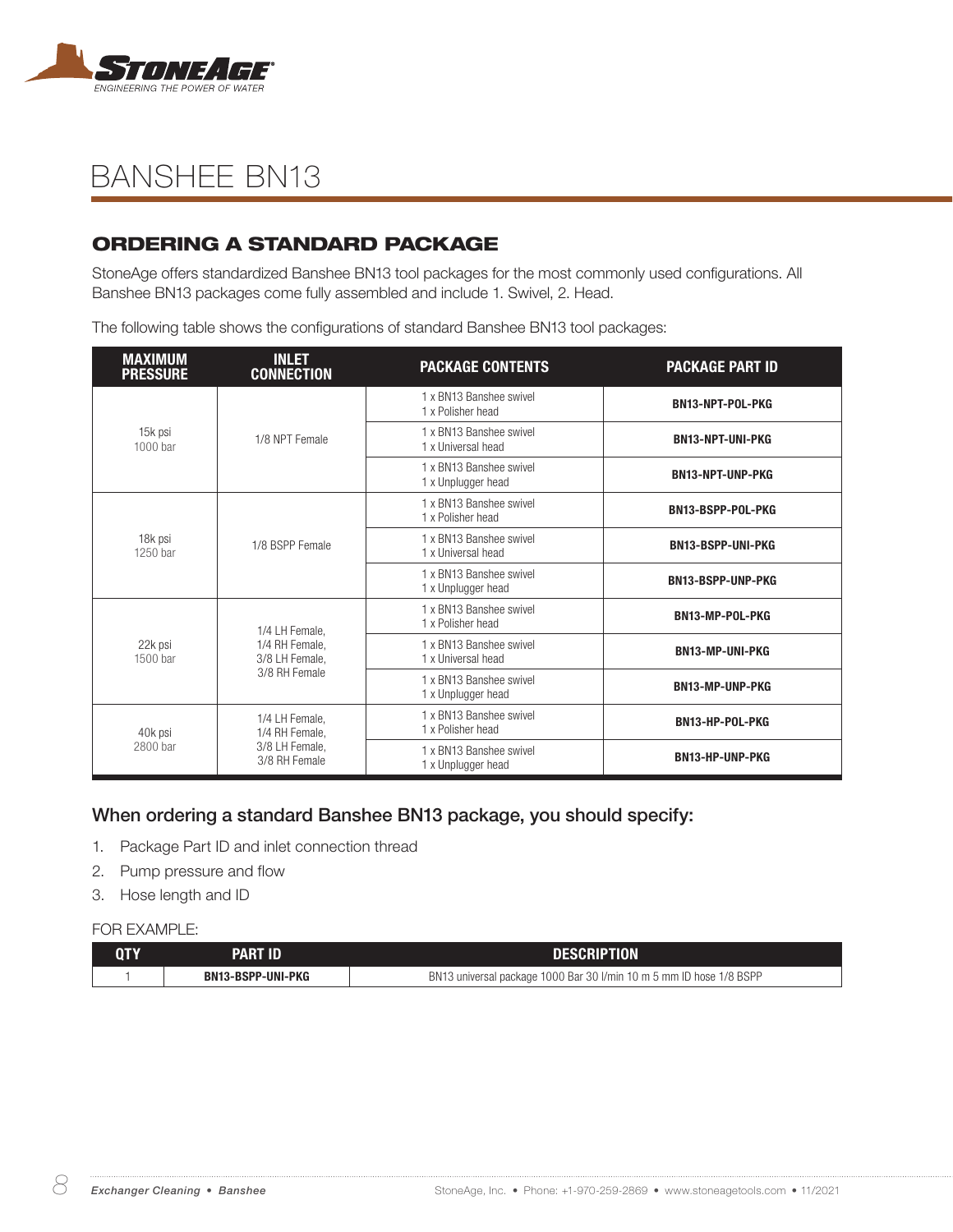

### ORDERING A STANDARD PACKAGE

StoneAge offers standardized Banshee BN13 tool packages for the most commonly used configurations. All Banshee BN13 packages come fully assembled and include 1. Swivel, 2. Head.

The following table shows the configurations of standard Banshee BN13 tool packages:

| <b>MAXIMUM</b><br><b>PRESSURE</b> | <b>INLET</b><br><b>CONNECTION</b> | <b>PACKAGE CONTENTS</b>                       | <b>PACKAGE PART ID</b>   |
|-----------------------------------|-----------------------------------|-----------------------------------------------|--------------------------|
|                                   |                                   | 1 x BN13 Banshee swivel<br>1 x Polisher head  | BN13-NPT-POL-PKG         |
| 15k psi<br>1000 bar               | 1/8 NPT Female                    | 1 x BN13 Banshee swivel<br>1 x Universal head | <b>BN13-NPT-UNI-PKG</b>  |
|                                   |                                   | 1 x BN13 Banshee swivel<br>1 x Unplugger head | <b>BN13-NPT-UNP-PKG</b>  |
|                                   |                                   | 1 x BN13 Banshee swivel<br>1 x Polisher head  | BN13-BSPP-POL-PKG        |
| 18k psi<br>1250 bar               | 1/8 BSPP Female                   | 1 x BN13 Banshee swivel<br>1 x Universal head | <b>BN13-BSPP-UNI-PKG</b> |
|                                   |                                   | 1 x BN13 Banshee swivel<br>1 x Unplugger head | <b>BN13-BSPP-UNP-PKG</b> |
|                                   | 1/4 LH Female,                    | 1 x BN13 Banshee swivel<br>1 x Polisher head  | BN13-MP-POL-PKG          |
| 22k psi<br>1500 bar               | 1/4 RH Female,<br>3/8 LH Female,  | 1 x BN13 Banshee swivel<br>1 x Universal head | <b>BN13-MP-UNI-PKG</b>   |
|                                   | 3/8 RH Female                     | 1 x BN13 Banshee swivel<br>1 x Unplugger head | <b>BN13-MP-UNP-PKG</b>   |
| 40k psi<br>2800 bar               | 1/4 LH Female,<br>1/4 RH Female,  | 1 x BN13 Banshee swivel<br>1 x Polisher head  | BN13-HP-POL-PKG          |
|                                   | 3/8 LH Female,<br>3/8 RH Female   | 1 x BN13 Banshee swivel<br>1 x Unplugger head | <b>BN13-HP-UNP-PKG</b>   |

### When ordering a standard Banshee BN13 package, you should specify:

- 1. Package Part ID and inlet connection thread
- 2. Pump pressure and flow
- 3. Hose length and ID

| QTY | PART ID                  | <b>DESCRIPTION</b>                                                  |
|-----|--------------------------|---------------------------------------------------------------------|
|     | <b>BN13-BSPP-UNI-PKG</b> | BN13 universal package 1000 Bar 30 l/min 10 m 5 mm ID hose 1/8 BSPP |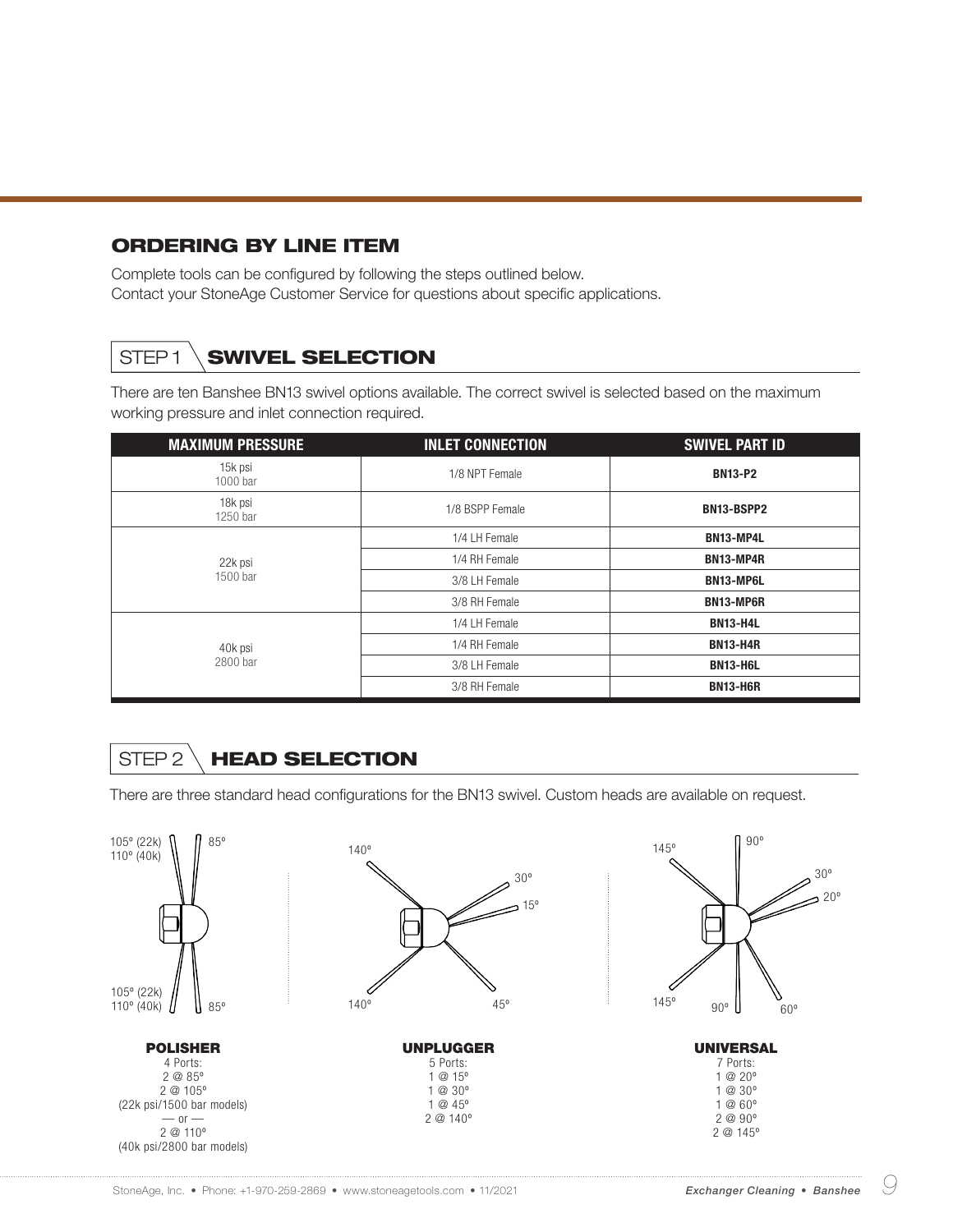#### ORDERING BY LINE ITEM

Complete tools can be configured by following the steps outlined below. Contact your StoneAge Customer Service for questions about specific applications.

## STEP1 \SWIVEL SELECTION

There are ten Banshee BN13 swivel options available. The correct swivel is selected based on the maximum working pressure and inlet connection required.

| <b>MAXIMUM PRESSURE</b> | <b>INLET CONNECTION</b> | <b>SWIVEL PART ID</b> |
|-------------------------|-------------------------|-----------------------|
| 15k psi<br>1000 bar     | 1/8 NPT Female          | <b>BN13-P2</b>        |
| 18k psi<br>1250 bar     | 1/8 BSPP Female         | BN13-BSPP2            |
|                         | 1/4 LH Female           | BN13-MP4L             |
| 22k psi                 | 1/4 RH Female           | BN13-MP4R             |
| 1500 bar                | 3/8 LH Female           | BN13-MP6L             |
|                         | 3/8 RH Female           | <b>BN13-MP6R</b>      |
|                         | 1/4 LH Female           | <b>BN13-H4L</b>       |
| 40k psi                 | 1/4 RH Female           | <b>BN13-H4R</b>       |
| 2800 bar                | 3/8 LH Female           | <b>BN13-H6L</b>       |
|                         | 3/8 RH Female           | <b>BN13-H6R</b>       |

## STEP 2 \ HEAD SELECTION

There are three standard head configurations for the BN13 swivel. Custom heads are available on request.

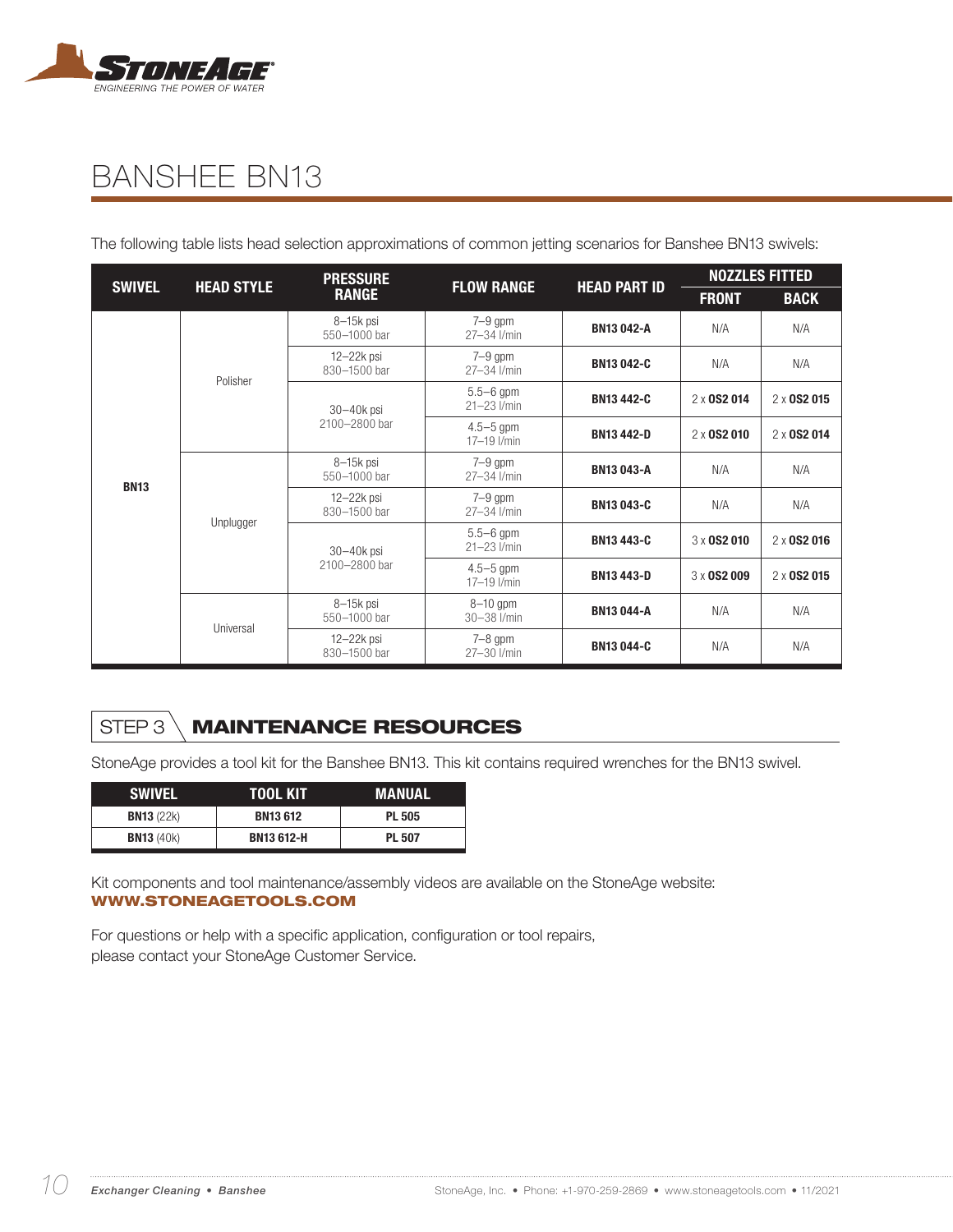

The following table lists head selection approximations of common jetting scenarios for Banshee BN13 swivels:

| <b>SWIVEL</b> | <b>HEAD STYLE</b> | <b>PRESSURE</b><br><b>FLOW RANGE</b><br><b>RANGE</b> | <b>HEAD PART ID</b>                | <b>NOZZLES FITTED</b> |                                                                |                    |
|---------------|-------------------|------------------------------------------------------|------------------------------------|-----------------------|----------------------------------------------------------------|--------------------|
|               |                   |                                                      |                                    |                       | <b>FRONT</b>                                                   | <b>BACK</b>        |
|               |                   | 8-15k psi<br>550-1000 bar                            | $7-9$ gpm<br>27-34 l/min           | <b>BN13042-A</b>      | N/A                                                            | N/A                |
|               | Polisher          | $12 - 22k$ psi<br>830-1500 bar                       | $7-9$ gpm<br>27-34 l/min           | <b>BN13042-C</b>      | N/A                                                            | N/A                |
|               |                   | $30 - 40k$ psi                                       | $5.5 - 6$ gpm<br>$21 - 23$ $l/min$ | <b>BN13442-C</b>      | 2 x 0S2 014<br>$2 \times$ 0S2 010<br>N/A<br>N/A<br>3 x 0S2 010 | $2 \times$ 0S2 015 |
|               |                   | 2100-2800 bar                                        | $4.5 - 5$ gpm<br>$17 - 19$ $1/min$ | <b>BN13442-D</b>      |                                                                | 2 x 0 S 2 0 1 4    |
| <b>BN13</b>   |                   | 8-15k psi<br>550-1000 bar                            | $7-9$ gpm<br>27-34 l/min           | <b>BN13043-A</b>      |                                                                | N/A                |
|               | Unplugger         | $12 - 22k$ psi<br>830-1500 bar                       | $7-9$ gpm<br>27-34 l/min           | <b>BN13043-C</b>      |                                                                | N/A                |
|               |                   | $30 - 40k$ psi                                       | $5.5 - 6$ gpm<br>$21 - 23$ $1/min$ | <b>BN13443-C</b>      | 3 x 0S2 009<br>N/A                                             | $2 \times$ 0S2 016 |
|               |                   | 2100-2800 bar                                        | $4.5 - 5$ gpm<br>$17 - 19$ $1/min$ | <b>BN13443-D</b>      |                                                                | $2 \times$ 0S2 015 |
|               | Universal         | 8-15k psi<br>550-1000 bar                            | $8-10$ gpm<br>$30 - 38$ I/min      | <b>BN13044-A</b>      |                                                                | N/A                |
|               |                   | $12 - 22k$ psi<br>830-1500 bar                       | $7 - 8$ gpm<br>27-30 l/min         | <b>BN13044-C</b>      | N/A                                                            | N/A                |

## STEP 3 MAINTENANCE RESOURCES

StoneAge provides a tool kit for the Banshee BN13. This kit contains required wrenches for the BN13 swivel.

| <b>SWIVEL</b>       | TOOL KIT          | MANUAL        |
|---------------------|-------------------|---------------|
| <b>BN13</b> (22k)   | <b>BN13 612</b>   | <b>PL 505</b> |
| <b>BN13</b> $(40k)$ | <b>BN13 612-H</b> | <b>PL 507</b> |

Kit components and tool maintenance/assembly videos are available on the StoneAge website: WWW.STONEAGETOOLS.COM

For questions or help with a specific application, configuration or tool repairs, please contact your StoneAge Customer Service.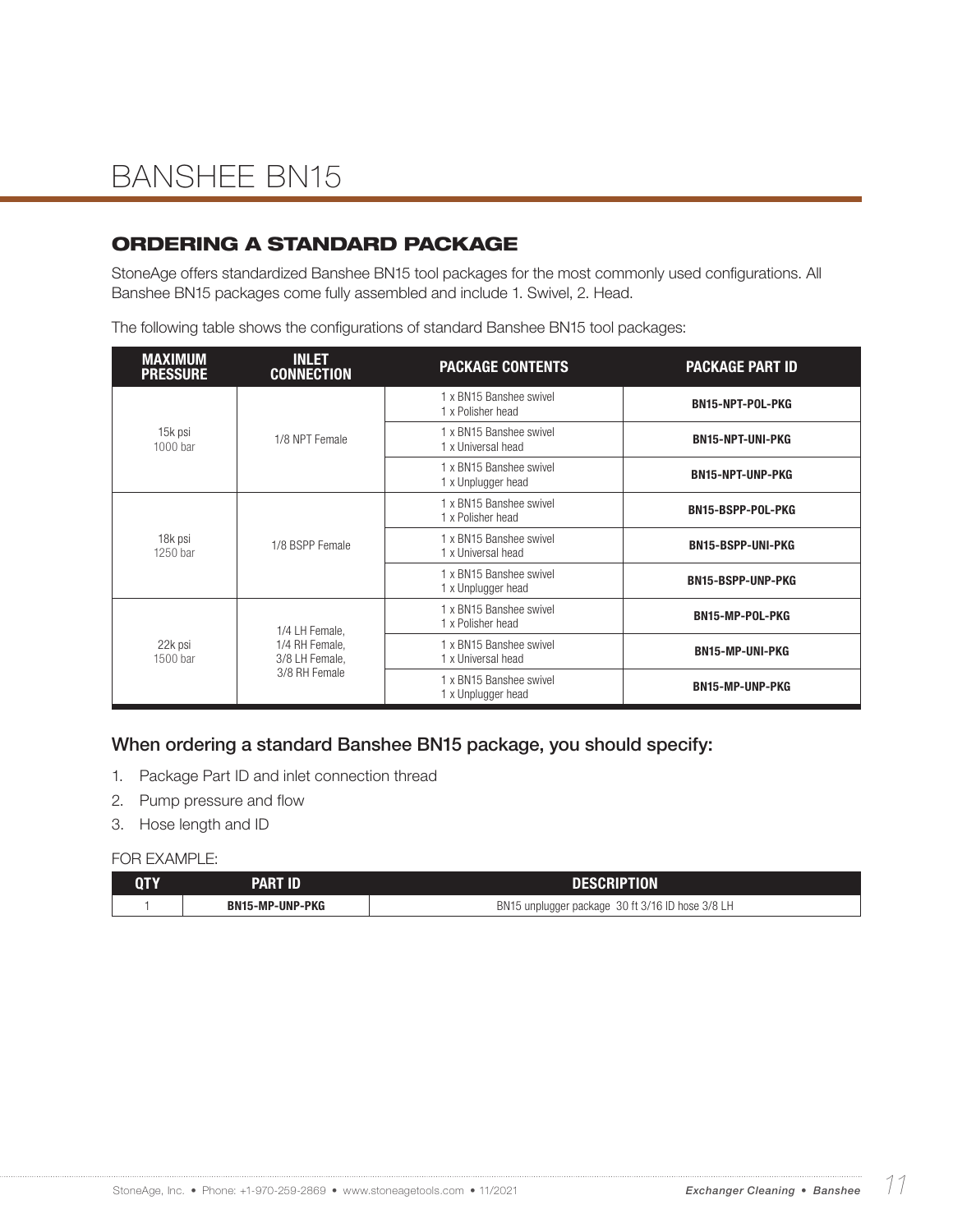### ORDERING A STANDARD PACKAGE

StoneAge offers standardized Banshee BN15 tool packages for the most commonly used configurations. All Banshee BN15 packages come fully assembled and include 1. Swivel, 2. Head.

The following table shows the configurations of standard Banshee BN15 tool packages:

| <b>MAXIMUM</b><br><b>PRESSURE</b> | <b>INLET</b><br><b>CONNECTION</b>                 | <b>PACKAGE CONTENTS</b>                       | <b>PACKAGE PART ID</b>   |
|-----------------------------------|---------------------------------------------------|-----------------------------------------------|--------------------------|
|                                   |                                                   | 1 x BN15 Banshee swivel<br>1 x Polisher head  | <b>BN15-NPT-POL-PKG</b>  |
| 15k psi<br>$1000$ bar             | 1/8 NPT Female                                    | 1 x BN15 Banshee swivel<br>1 x Universal head | <b>BN15-NPT-UNI-PKG</b>  |
|                                   |                                                   | 1 x BN15 Banshee swivel<br>1 x Unplugger head | <b>BN15-NPT-UNP-PKG</b>  |
|                                   | 1/8 BSPP Female                                   | 1 x BN15 Banshee swivel<br>1 x Polisher head  | <b>BN15-BSPP-POL-PKG</b> |
| 18k psi<br>1250 bar               |                                                   | 1 x BN15 Banshee swivel<br>1 x Universal head | <b>BN15-BSPP-UNI-PKG</b> |
|                                   |                                                   | 1 x BN15 Banshee swivel<br>1 x Unplugger head | <b>BN15-BSPP-UNP-PKG</b> |
| 22k psi<br>1500 bar               | 1/4 LH Female,                                    | 1 x BN15 Banshee swivel<br>1 x Polisher head  | <b>BN15-MP-POL-PKG</b>   |
|                                   | 1/4 RH Female,<br>3/8 LH Female,<br>3/8 RH Female | 1 x BN15 Banshee swivel<br>1 x Universal head | <b>BN15-MP-UNI-PKG</b>   |
|                                   |                                                   | 1 x BN15 Banshee swivel<br>1 x Unplugger head | <b>BN15-MP-UNP-PKG</b>   |

#### When ordering a standard Banshee BN15 package, you should specify:

- 1. Package Part ID and inlet connection thread
- 2. Pump pressure and flow
- 3. Hose length and ID

| QTY | PART ID.        | <b>DESCRIPTION</b>                               |  |
|-----|-----------------|--------------------------------------------------|--|
|     | BN15-MP-UNP-PKG | BN15 unplugger package 30 ft 3/16 ID hose 3/8 LH |  |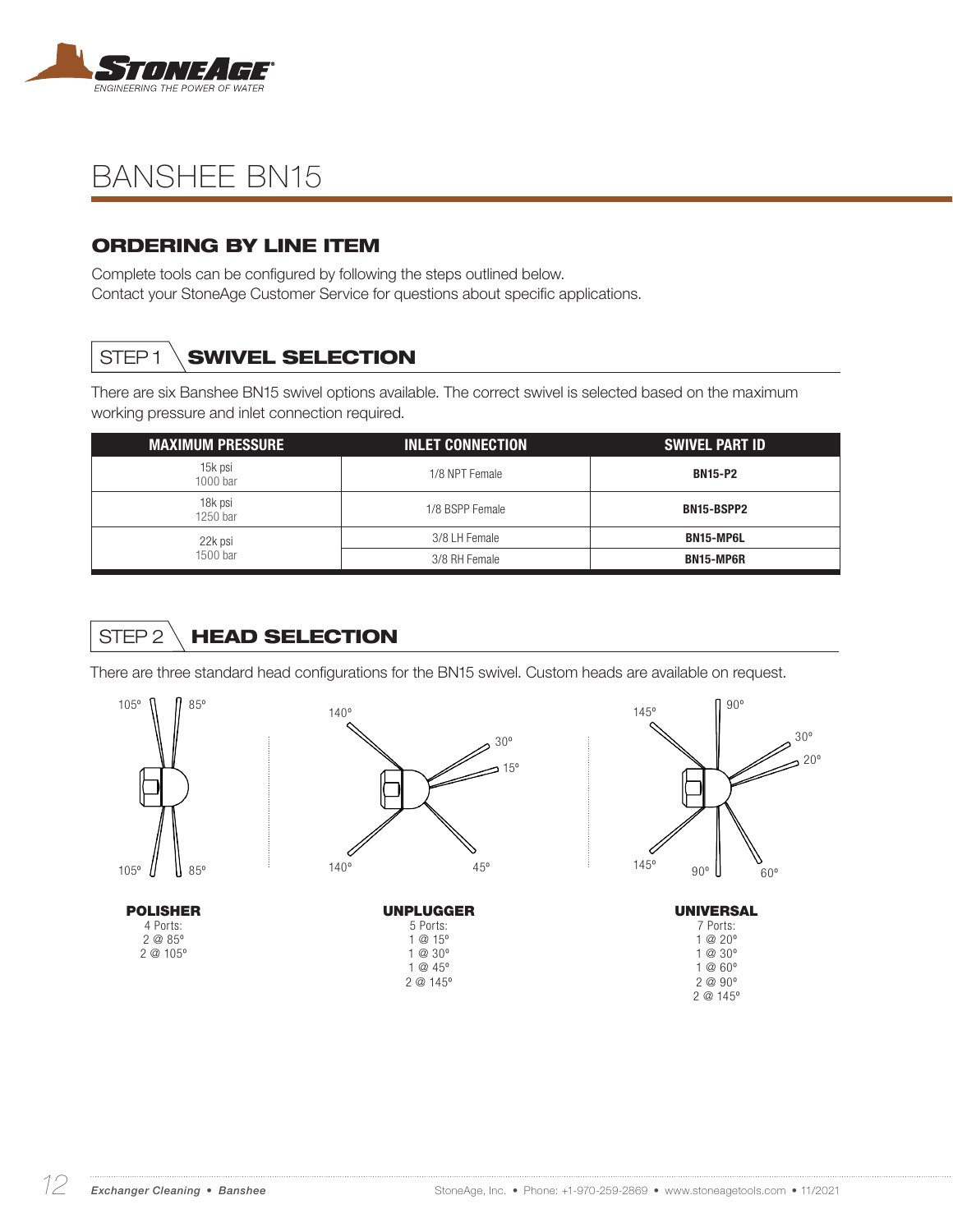

### ORDERING BY LINE ITEM

Complete tools can be configured by following the steps outlined below. Contact your StoneAge Customer Service for questions about specific applications.

## STEP1 **SWIVEL SELECTION**

There are six Banshee BN15 swivel options available. The correct swivel is selected based on the maximum working pressure and inlet connection required.

| <b>MAXIMUM PRESSURE</b> | <b>INLET CONNECTION</b> | <b>SWIVEL PART ID</b> |
|-------------------------|-------------------------|-----------------------|
| 15k psi<br>$1000$ bar   | 1/8 NPT Female          | <b>BN15-P2</b>        |
| 18k psi<br>$1250$ bar   | 1/8 BSPP Female         | BN15-BSPP2            |
| 22k psi                 | 3/8 LH Female           | BN15-MP6L             |
| 1500 bar                | 3/8 RH Female           | <b>BN15-MP6R</b>      |

## STEP 2 \ HEAD SELECTION

There are three standard head configurations for the BN15 swivel. Custom heads are available on request.

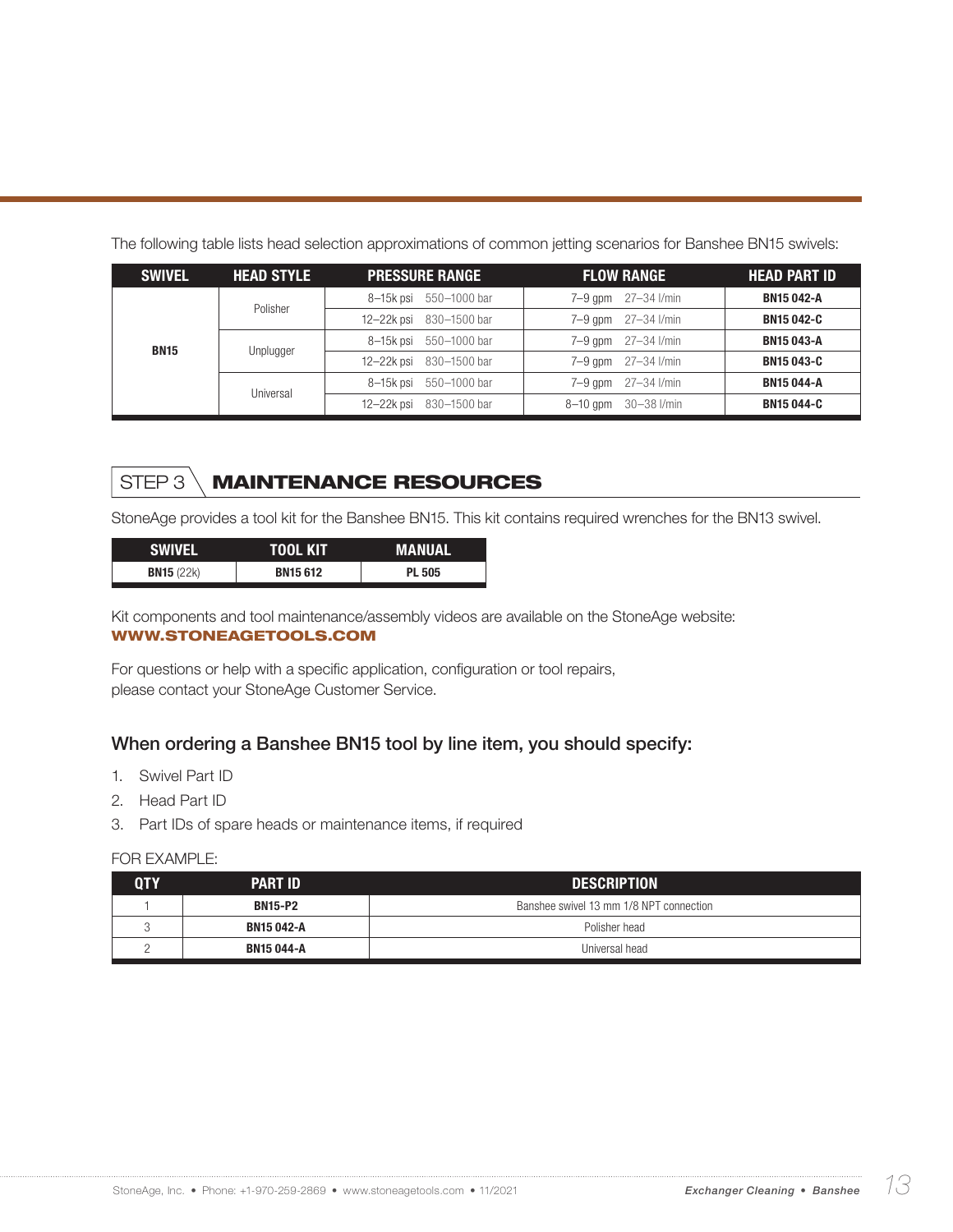| <b>SWIVEL</b> | <b>HEAD STYLE</b> | <b>PRESSURE RANGE</b>   | <b>FLOW RANGE</b>          | <b>HEAD PART ID</b> |
|---------------|-------------------|-------------------------|----------------------------|---------------------|
|               | Polisher          | 8-15k psi 550-1000 bar  | 27–34 I/min<br>$7 - 9$ gpm | <b>BN15 042-A</b>   |
|               |                   | 12-22k psi 830-1500 bar | 27–34 I/min<br>$7-9$ gpm   | <b>BN15042-C</b>    |
| <b>BN15</b>   |                   | 8-15k psi 550-1000 bar  | 27–34 I/min<br>$7-9$ gpm   | <b>BN15 043-A</b>   |
|               | Unplugger         | 12-22k psi 830-1500 bar | 27–34 I/min<br>$7-9$ gpm   | <b>BN15043-C</b>    |
|               | Universal         | 8-15k psi 550-1000 bar  | 27–34 I/min<br>$7-9$ qpm   | <b>BN15 044-A</b>   |
|               |                   | 12-22k psi 830-1500 bar | 30-38 l/min<br>$8-10$ gpm  | <b>BN15044-C</b>    |

The following table lists head selection approximations of common jetting scenarios for Banshee BN15 swivels:

## STEP 3 \ MAINTENANCE RESOURCES

StoneAge provides a tool kit for the Banshee BN15. This kit contains required wrenches for the BN13 swivel.

| SWIVEL              | TOOL KIT       | <b>MANUAL</b> |
|---------------------|----------------|---------------|
| <b>BN15</b> $(22k)$ | <b>BN15612</b> | <b>PL 505</b> |

Kit components and tool maintenance/assembly videos are available on the StoneAge website: WWW.STONEAGETOOLS.COM

For questions or help with a specific application, configuration or tool repairs, please contact your StoneAge Customer Service.

#### When ordering a Banshee BN15 tool by line item, you should specify:

- 1. Swivel Part ID
- 2. Head Part ID
- 3. Part IDs of spare heads or maintenance items, if required

| ${\bf 0}{\bf I}{\bf Y}$ | <b>PART ID</b>                     | <b>DESCRIPTION</b>                      |  |
|-------------------------|------------------------------------|-----------------------------------------|--|
|                         | <b>BN15-P2</b>                     | Banshee swivel 13 mm 1/8 NPT connection |  |
|                         | <b>BN15 042-A</b><br>Polisher head |                                         |  |
|                         | <b>BN15 044-A</b>                  | Universal head                          |  |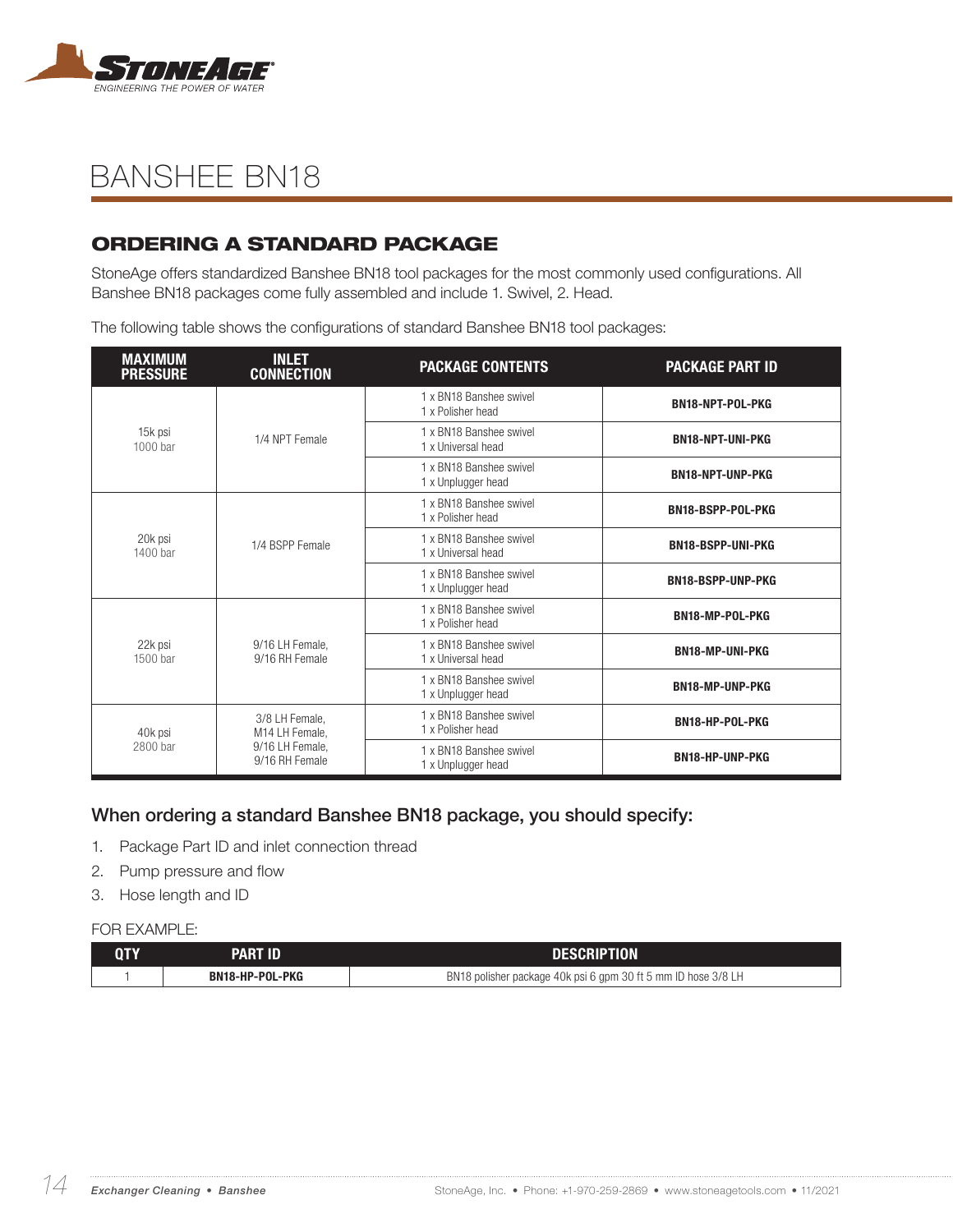

### ORDERING A STANDARD PACKAGE

StoneAge offers standardized Banshee BN18 tool packages for the most commonly used configurations. All Banshee BN18 packages come fully assembled and include 1. Swivel, 2. Head.

The following table shows the configurations of standard Banshee BN18 tool packages:

| <b>MAXIMUM</b><br><b>PRESSURE</b> | <b>INLET</b><br><b>CONNECTION</b> | <b>PACKAGE CONTENTS</b>                       | <b>PACKAGE PART ID</b>   |                  |
|-----------------------------------|-----------------------------------|-----------------------------------------------|--------------------------|------------------|
|                                   |                                   | 1 x BN18 Banshee swivel<br>1 x Polisher head  |                          | BN18-NPT-POL-PKG |
| 15k psi<br>1000 bar               | 1/4 NPT Female                    | 1 x BN18 Banshee swivel<br>1 x Universal head | <b>BN18-NPT-UNI-PKG</b>  |                  |
|                                   |                                   | 1 x BN18 Banshee swivel<br>1 x Unplugger head | <b>BN18-NPT-UNP-PKG</b>  |                  |
|                                   |                                   | 1 x BN18 Banshee swivel<br>1 x Polisher head  | <b>BN18-BSPP-POL-PKG</b> |                  |
| 20k psi<br>1400 bar               | 1/4 BSPP Female                   | 1 x BN18 Banshee swivel<br>1 x Universal head | <b>BN18-BSPP-UNI-PKG</b> |                  |
|                                   |                                   | 1 x BN18 Banshee swivel<br>1 x Unplugger head | <b>BN18-BSPP-UNP-PKG</b> |                  |
|                                   |                                   | 1 x BN18 Banshee swivel<br>1 x Polisher head  | BN18-MP-POL-PKG          |                  |
| 22k psi<br>1500 bar               | 9/16 LH Female,<br>9/16 RH Female | 1 x BN18 Banshee swivel<br>1 x Universal head | <b>BN18-MP-UNI-PKG</b>   |                  |
|                                   |                                   | 1 x BN18 Banshee swivel<br>1 x Unplugger head | <b>BN18-MP-UNP-PKG</b>   |                  |
| 40k psi<br>2800 bar               | 3/8 LH Female,<br>M14 LH Female,  | 1 x BN18 Banshee swivel<br>1 x Polisher head  | BN18-HP-POL-PKG          |                  |
|                                   | 9/16 LH Female,<br>9/16 RH Female | 1 x BN18 Banshee swivel<br>1 x Unplugger head | <b>BN18-HP-UNP-PKG</b>   |                  |

#### When ordering a standard Banshee BN18 package, you should specify:

- 1. Package Part ID and inlet connection thread
- 2. Pump pressure and flow
- 3. Hose length and ID

#### FOR EXAMPLE<sup>.</sup>

| QTY | <b>PART ID</b>  | <b>DESCRIPTION</b>                                            |
|-----|-----------------|---------------------------------------------------------------|
|     | BN18-HP-POL-PKG | BN18 polisher package 40k psi 6 gpm 30 ft 5 mm ID hose 3/8 LH |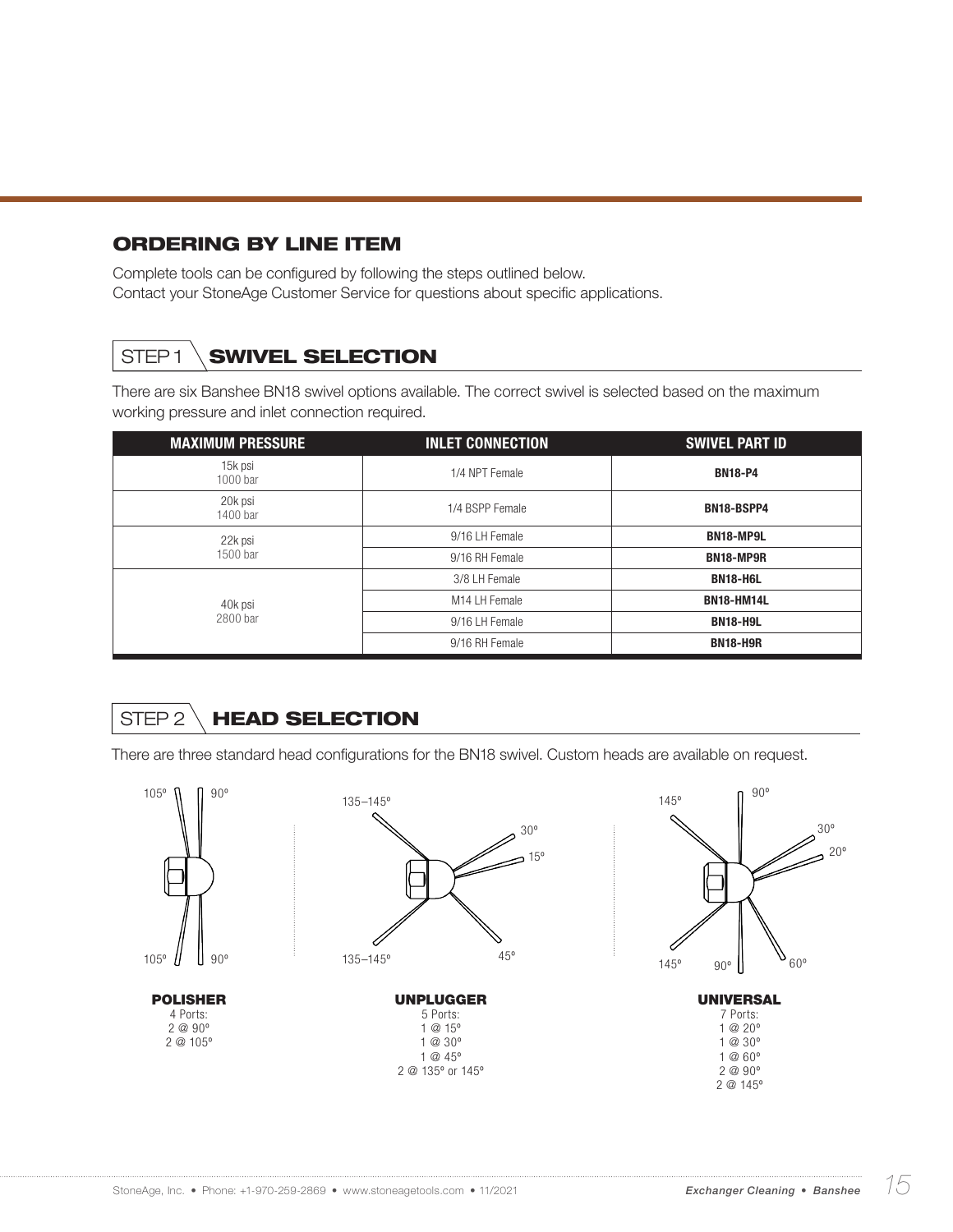### ORDERING BY LINE ITEM

Complete tools can be configured by following the steps outlined below. Contact your StoneAge Customer Service for questions about specific applications.

## STEP1 **SWIVEL SELECTION**

There are six Banshee BN18 swivel options available. The correct swivel is selected based on the maximum working pressure and inlet connection required.

| <b>MAXIMUM PRESSURE</b> | <b>INLET CONNECTION</b> | <b>SWIVEL PART ID</b> |
|-------------------------|-------------------------|-----------------------|
| 15k psi<br>1000 bar     | 1/4 NPT Female          | <b>BN18-P4</b>        |
| 20k psi<br>1400 bar     | 1/4 BSPP Female         | <b>BN18-BSPP4</b>     |
| 22k psi                 | 9/16 LH Female          | <b>BN18-MP9L</b>      |
| 1500 bar                | 9/16 RH Female          | <b>BN18-MP9R</b>      |
|                         | 3/8 LH Female           | <b>BN18-H6L</b>       |
| 40k psi                 | M14 LH Female           | <b>BN18-HM14L</b>     |
| 2800 bar                | 9/16 LH Female          | <b>BN18-H9L</b>       |
|                         | 9/16 RH Female          | <b>BN18-H9R</b>       |

## STEP 2 \ HEAD SELECTION

There are three standard head configurations for the BN18 swivel. Custom heads are available on request.

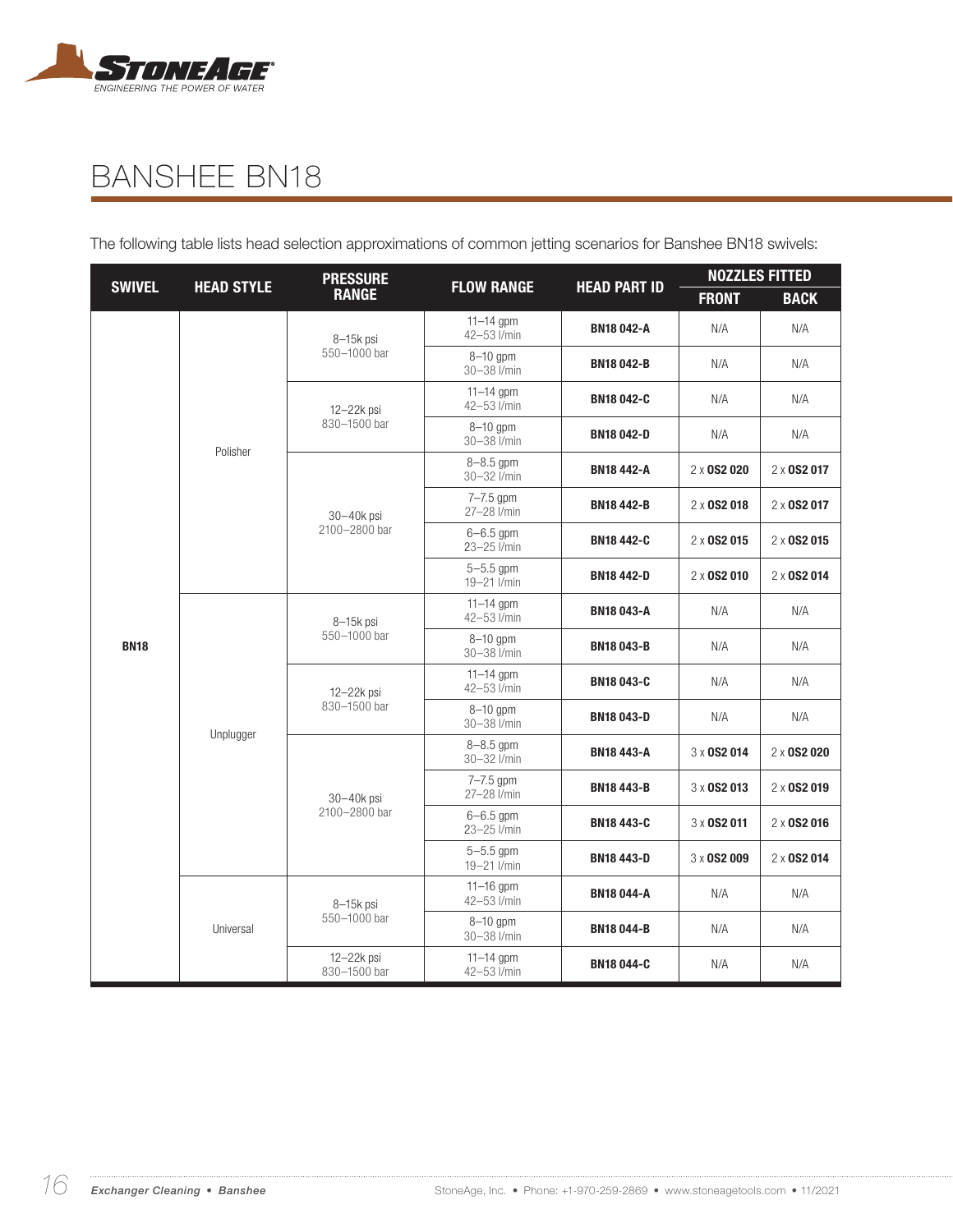

The following table lists head selection approximations of common jetting scenarios for Banshee BN18 swivels:

|               | <b>HEAD STYLE</b> | <b>PRESSURE</b><br><b>HEAD PART ID</b><br><b>FLOW RANGE</b> |                              |                   | <b>NOZZLES FITTED</b>                                                                              |                    |
|---------------|-------------------|-------------------------------------------------------------|------------------------------|-------------------|----------------------------------------------------------------------------------------------------|--------------------|
| <b>SWIVEL</b> |                   | <b>RANGE</b>                                                |                              |                   | <b>FRONT</b>                                                                                       | <b>BACK</b>        |
|               |                   | 8-15k psi                                                   | $11 - 14$ gpm<br>42-53 l/min | <b>BN18042-A</b>  | N/A                                                                                                | N/A                |
|               |                   | 550-1000 bar                                                | 8-10 gpm<br>30-38 l/min      | <b>BN18042-B</b>  | N/A                                                                                                | N/A                |
|               |                   | $12 - 22k$ psi                                              | $11-14$ gpm<br>42-53 I/min   | <b>BN18042-C</b>  | N/A                                                                                                | N/A                |
|               | Polisher          | 830-1500 bar                                                | $8-10$ gpm<br>30-38 l/min    | <b>BN18042-D</b>  | N/A                                                                                                | N/A                |
|               |                   |                                                             | $8 - 8.5$ gpm<br>30-32 l/min | <b>BN18 442-A</b> | 2 x 0S2 020                                                                                        | 2 x 0 S 2 0 1 7    |
|               |                   | 30-40k psi                                                  | 7-7.5 gpm<br>27-28 l/min     | <b>BN18 442-B</b> | $2 \times$ 0S2 018                                                                                 | $2 \times$ 0S2 017 |
|               |                   | 2100-2800 bar                                               | $6 - 6.5$ gpm<br>23-25 l/min | <b>BN18 442-C</b> | $2 \times$ 0S2 015                                                                                 | 2 x 0S2 015        |
|               |                   |                                                             | $5 - 5.5$ gpm<br>19-21 l/min | <b>BN18 442-D</b> | $2 \times$ 0S2 010                                                                                 | 2 x 0 S 2 0 1 4    |
|               |                   | 8-15k psi                                                   | $11 - 14$ gpm<br>42-53 I/min | <b>BN18043-A</b>  | N/A                                                                                                | N/A                |
| <b>BN18</b>   |                   | 550-1000 bar                                                | $8-10$ gpm<br>30-38 l/min    | <b>BN18043-B</b>  | N/A                                                                                                | N/A                |
|               |                   | 12-22k psi                                                  | $11-14$ gpm<br>42-53 I/min   | <b>BN18043-C</b>  | N/A<br>N/A<br>3 x 0S2 014<br>$3 \times$ 0S2 013<br>3 x 0S2 011<br>3 x 0S2 009<br>N/A<br>N/A<br>N/A | N/A                |
|               | Unplugger         | 830-1500 bar                                                | $8-10$ gpm<br>30-38 l/min    | <b>BN18043-D</b>  |                                                                                                    | N/A                |
|               |                   |                                                             | $8 - 8.5$ gpm<br>30-32 l/min | <b>BN18 443-A</b> |                                                                                                    | 2 x 0S2 020        |
|               |                   | 30-40k psi                                                  | $7 - 7.5$ gpm<br>27-28 l/min | <b>BN18 443-B</b> |                                                                                                    | 2 x 0S2 019        |
|               |                   | 2100-2800 bar                                               | $6 - 6.5$ gpm<br>23-25 l/min | <b>BN18 443-C</b> |                                                                                                    | 2 x 0S2 016        |
|               |                   |                                                             | $5 - 5.5$ gpm<br>19-21 l/min | <b>BN18443-D</b>  |                                                                                                    | 2 x 0S2 014        |
|               |                   | 8-15k psi                                                   | $11-16$ gpm<br>42-53 l/min   | <b>BN18 044-A</b> |                                                                                                    | N/A                |
|               | Universal         | 550-1000 bar                                                | $8-10$ gpm<br>30-38 l/min    | <b>BN18044-B</b>  |                                                                                                    | N/A                |
|               |                   | 12-22k psi<br>$11 - 14$ gpm<br>42-53 I/min<br>830-1500 bar  | <b>BN18044-C</b>             |                   | N/A                                                                                                |                    |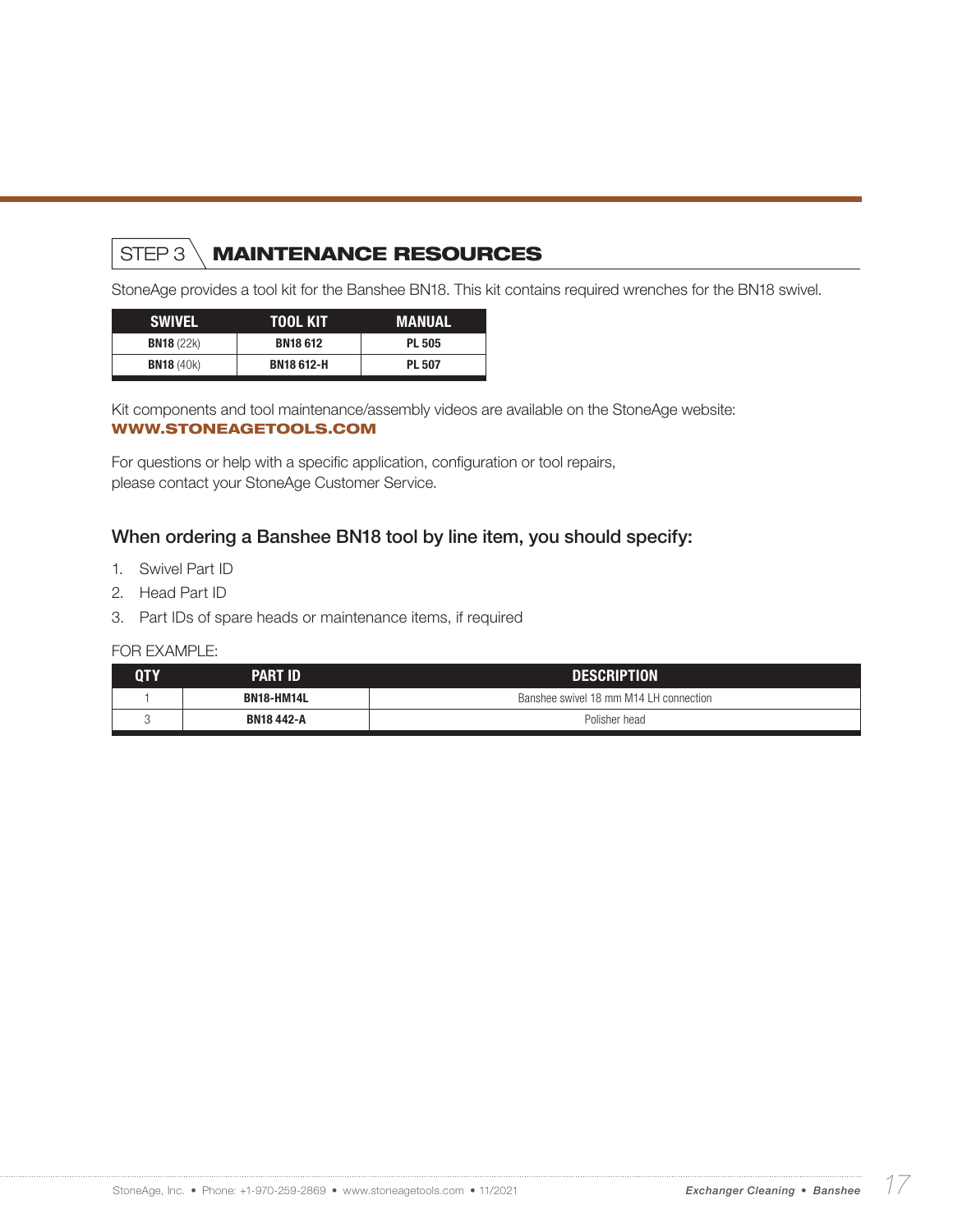## STEP 3 \**MAINTENANCE RESOURCES**

StoneAge provides a tool kit for the Banshee BN18. This kit contains required wrenches for the BN18 swivel.

| <b>SWIVEL</b>     | TOOL KIT          | MANUAL        |
|-------------------|-------------------|---------------|
| <b>BN18 (22k)</b> | <b>BN18612</b>    | <b>PL 505</b> |
| <b>BN18</b> (40k) | <b>BN18 612-H</b> | <b>PL 507</b> |

Kit components and tool maintenance/assembly videos are available on the StoneAge website: WWW.STONEAGETOOLS.COM

For questions or help with a specific application, configuration or tool repairs, please contact your StoneAge Customer Service.

#### When ordering a Banshee BN18 tool by line item, you should specify:

- 1. Swivel Part ID
- 2. Head Part ID
- 3. Part IDs of spare heads or maintenance items, if required

| 0TY | <b>PART ID</b>    | <b>DESCRIPTION</b>                     |  |
|-----|-------------------|----------------------------------------|--|
|     | <b>BN18-HM14L</b> | Banshee swivel 18 mm M14 LH connection |  |
|     | <b>BN18 442-A</b> | Polisher head                          |  |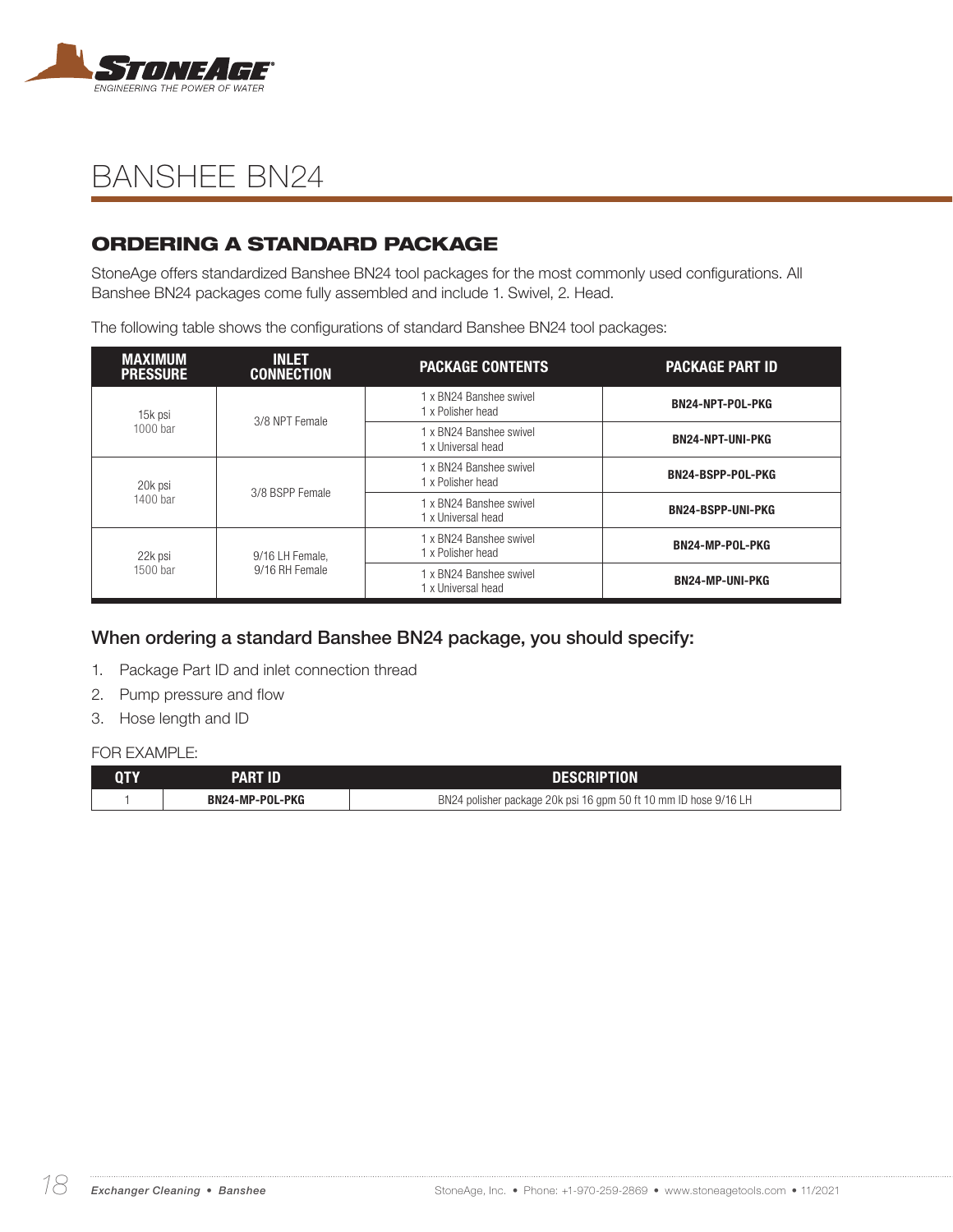

### ORDERING A STANDARD PACKAGE

StoneAge offers standardized Banshee BN24 tool packages for the most commonly used configurations. All Banshee BN24 packages come fully assembled and include 1. Swivel, 2. Head.

The following table shows the configurations of standard Banshee BN24 tool packages:

| <b>MAXIMUM</b><br><b>PRESSURE</b> | <b>INLET</b><br><b>CONNECTION</b> | <b>PACKAGE CONTENTS</b>                                                  | <b>PACKAGE PART ID</b>   |
|-----------------------------------|-----------------------------------|--------------------------------------------------------------------------|--------------------------|
| 15k psi                           | 3/8 NPT Female                    | 1 x BN24 Banshee swivel<br>1 x Polisher head                             | <b>BN24-NPT-POL-PKG</b>  |
| 1000 bar                          |                                   | 1 x BN24 Banshee swivel<br><b>BN24-NPT-UNI-PKG</b><br>1 x Universal head |                          |
| 20k psi<br>1400 bar               | 3/8 BSPP Female                   | 1 x BN24 Banshee swivel<br>1 x Polisher head                             | <b>BN24-BSPP-POL-PKG</b> |
|                                   |                                   | 1 x BN24 Banshee swivel<br>1 x Universal head                            | <b>BN24-BSPP-UNI-PKG</b> |
| 22k psi<br>1500 bar               | 9/16 LH Female,<br>9/16 RH Female | 1 x BN24 Banshee swivel<br>1 x Polisher head                             | <b>BN24-MP-POL-PKG</b>   |
|                                   |                                   | 1 x BN24 Banshee swivel<br>1 x Universal head                            | <b>BN24-MP-UNI-PKG</b>   |

### When ordering a standard Banshee BN24 package, you should specify:

- 1. Package Part ID and inlet connection thread
- 2. Pump pressure and flow
- 3. Hose length and ID

| QTY | <b>PART ID</b>  | <b>DESCRIPTION</b>                                               |
|-----|-----------------|------------------------------------------------------------------|
|     | BN24-MP-POL-PKG | BN24 polisher package 20k psi 16 gpm 50 ft 10 mm ID hose 9/16 LH |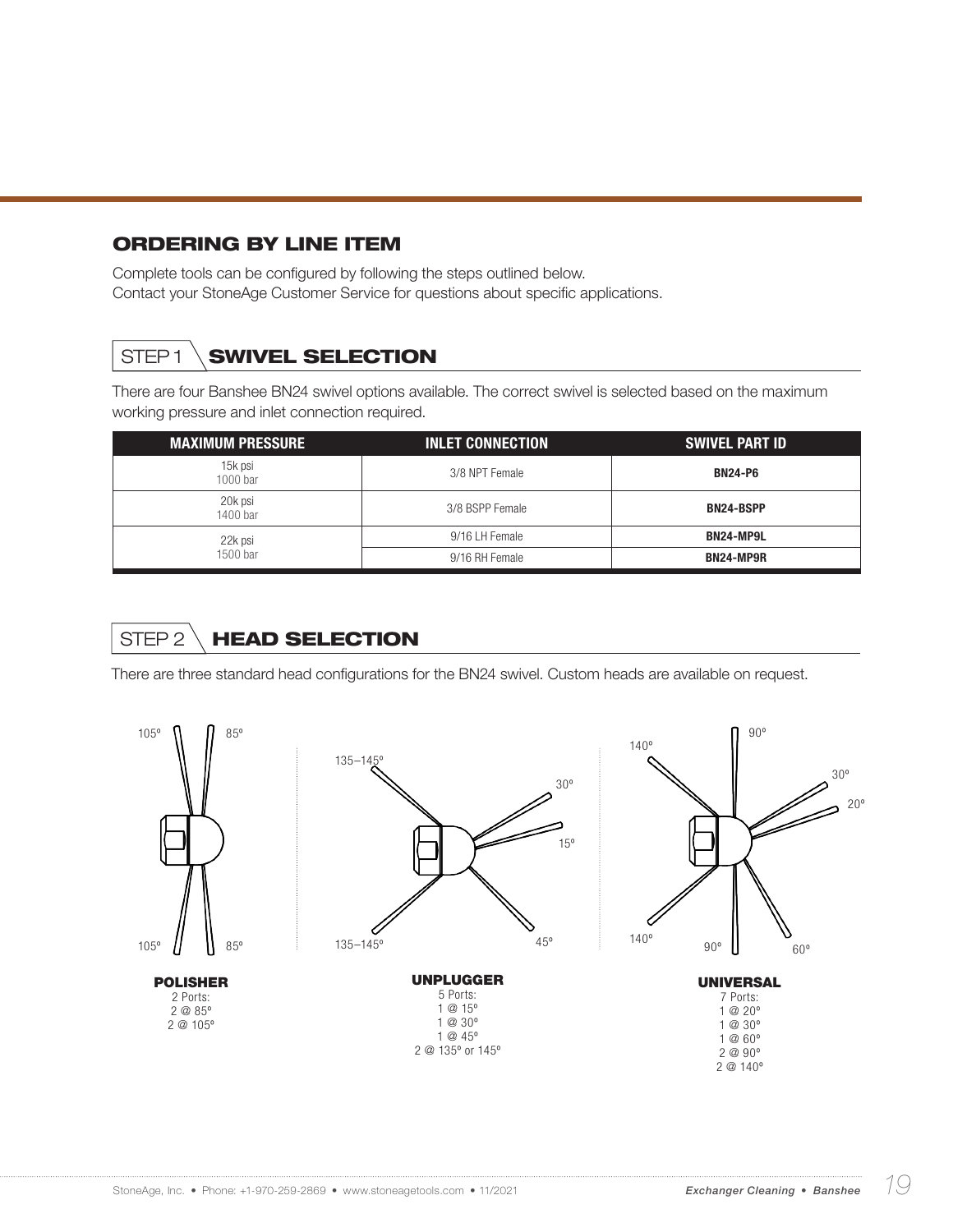#### ORDERING BY LINE ITEM

Complete tools can be configured by following the steps outlined below. Contact your StoneAge Customer Service for questions about specific applications.

## STEP1 **SWIVEL SELECTION**

There are four Banshee BN24 swivel options available. The correct swivel is selected based on the maximum working pressure and inlet connection required.

| <b>MAXIMUM PRESSURE</b> | <b>INLET CONNECTION</b> | <b>SWIVEL PART ID</b> |
|-------------------------|-------------------------|-----------------------|
| 15k psi<br>1000 bar     | 3/8 NPT Female          | <b>BN24-P6</b>        |
| 20k psi<br>1400 bar     | 3/8 BSPP Female         | <b>BN24-BSPP</b>      |
| 22k psi                 | 9/16 LH Female          | <b>BN24-MP9L</b>      |
| 1500 bar                | 9/16 RH Female          | BN24-MP9R             |

## STEP 2 \ HEAD SELECTION

There are three standard head configurations for the BN24 swivel. Custom heads are available on request.

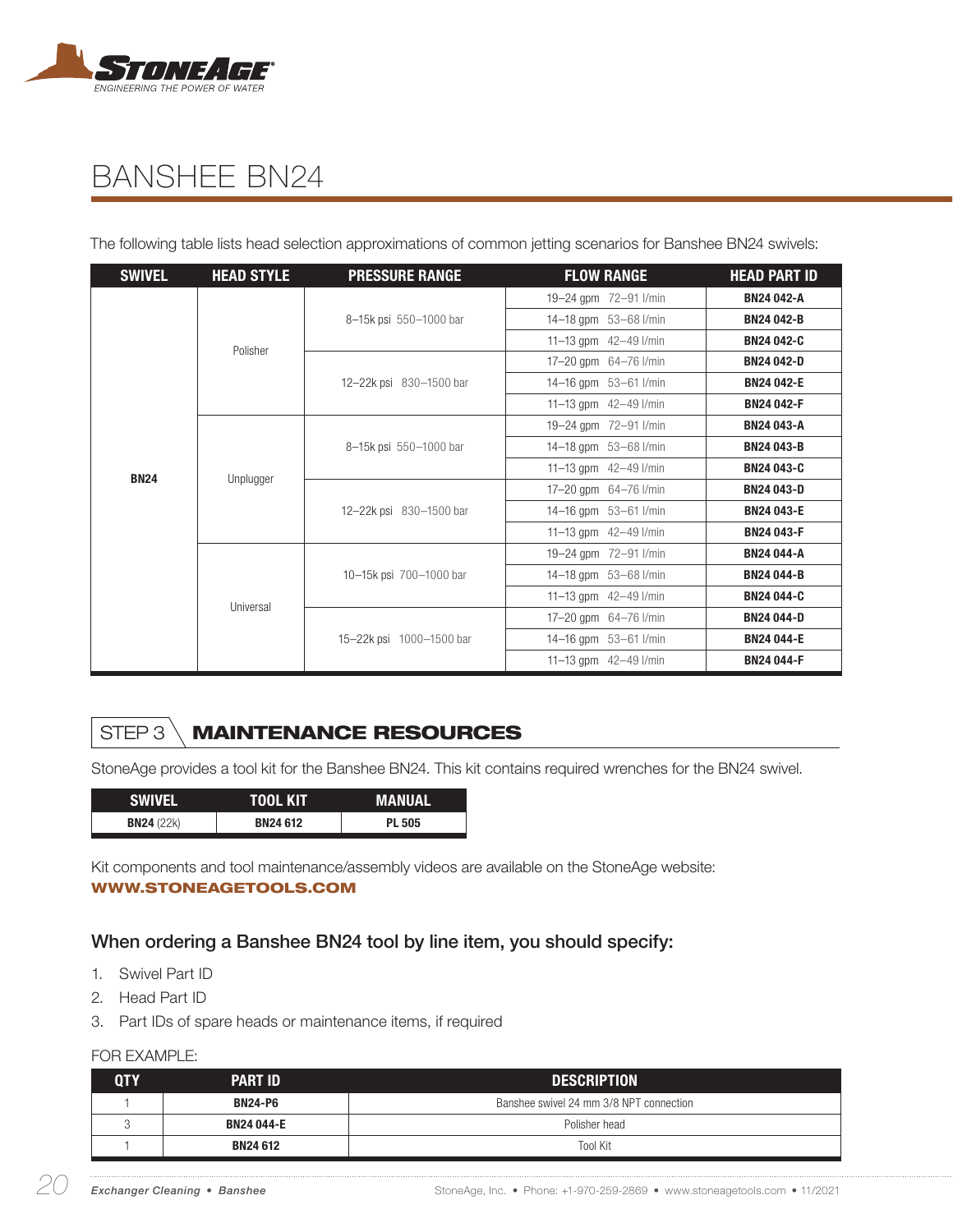

The following table lists head selection approximations of common jetting scenarios for Banshee BN24 swivels:

| <b>SWIVEL</b> | <b>HEAD STYLE</b> | <b>PRESSURE RANGE</b>    | <b>FLOW RANGE</b>       | <b>HEAD PART ID</b> |
|---------------|-------------------|--------------------------|-------------------------|---------------------|
|               |                   |                          | 19-24 gpm 72-91 l/min   | <b>BN24 042-A</b>   |
|               |                   | 8-15k psi 550-1000 bar   | 14-18 gpm 53-68 l/min   | <b>BN24 042-B</b>   |
|               | Polisher          |                          | 11-13 gpm 42-49 l/min   | <b>BN24 042-C</b>   |
|               |                   |                          | 17-20 qpm 64-76 l/min   | <b>BN24 042-D</b>   |
|               |                   | 12-22k psi 830-1500 bar  | 14-16 gpm 53-61 l/min   | <b>BN24 042-E</b>   |
|               |                   |                          | 11-13 gpm 42-49 l/min   | <b>BN24 042-F</b>   |
|               |                   |                          | 19-24 gpm 72-91 l/min   | <b>BN24 043-A</b>   |
|               |                   | 8-15k psi 550-1000 bar   | 14-18 gpm 53-68 l/min   | <b>BN24 043-B</b>   |
| <b>BN24</b>   | Unplugger         |                          | 11-13 gpm 42-49 l/min   | <b>BN24 043-C</b>   |
|               |                   |                          | 17-20 qpm 64-76 l/min   | <b>BN24 043-D</b>   |
|               |                   | 12-22k psi 830-1500 bar  | 14-16 qpm 53-61 l/min   | <b>BN24 043-E</b>   |
|               |                   |                          | 11-13 gpm $42-49$ l/min | <b>BN24 043-F</b>   |
|               |                   |                          | 19-24 gpm 72-91 l/min   | <b>BN24 044-A</b>   |
|               |                   | 10-15k psi 700-1000 bar  | 14-18 gpm 53-68 l/min   | <b>BN24 044-B</b>   |
|               | Universal         |                          | 11-13 gpm $42-49$ l/min | <b>BN24 044-C</b>   |
|               |                   |                          | 17-20 gpm 64-76 l/min   | <b>BN24 044-D</b>   |
|               |                   | 15-22k psi 1000-1500 bar | 14-16 gpm 53-61 l/min   | <b>BN24 044-E</b>   |
|               |                   |                          | 11-13 gpm 42-49 l/min   | <b>BN24 044-F</b>   |

## STEP 3 \ MAINTENANCE RESOURCES

StoneAge provides a tool kit for the Banshee BN24. This kit contains required wrenches for the BN24 swivel.

| <b>SWIVEL</b>     | TOOL KIT       | MANUAL        |
|-------------------|----------------|---------------|
| <b>BN24 (22k)</b> | <b>BN24612</b> | <b>PL 505</b> |

Kit components and tool maintenance/assembly videos are available on the StoneAge website: WWW.STONEAGETOOLS.COM

#### When ordering a Banshee BN24 tool by line item, you should specify:

- 1. Swivel Part ID
- 2. Head Part ID
- 3. Part IDs of spare heads or maintenance items, if required

| <b>OTY</b> | <b>PART ID</b>    | <b>DESCRIPTION</b>                      |  |
|------------|-------------------|-----------------------------------------|--|
|            | <b>BN24-P6</b>    | Banshee swivel 24 mm 3/8 NPT connection |  |
|            | <b>BN24 044-E</b> | Polisher head                           |  |
|            | <b>BN24612</b>    | <b>Tool Kit</b>                         |  |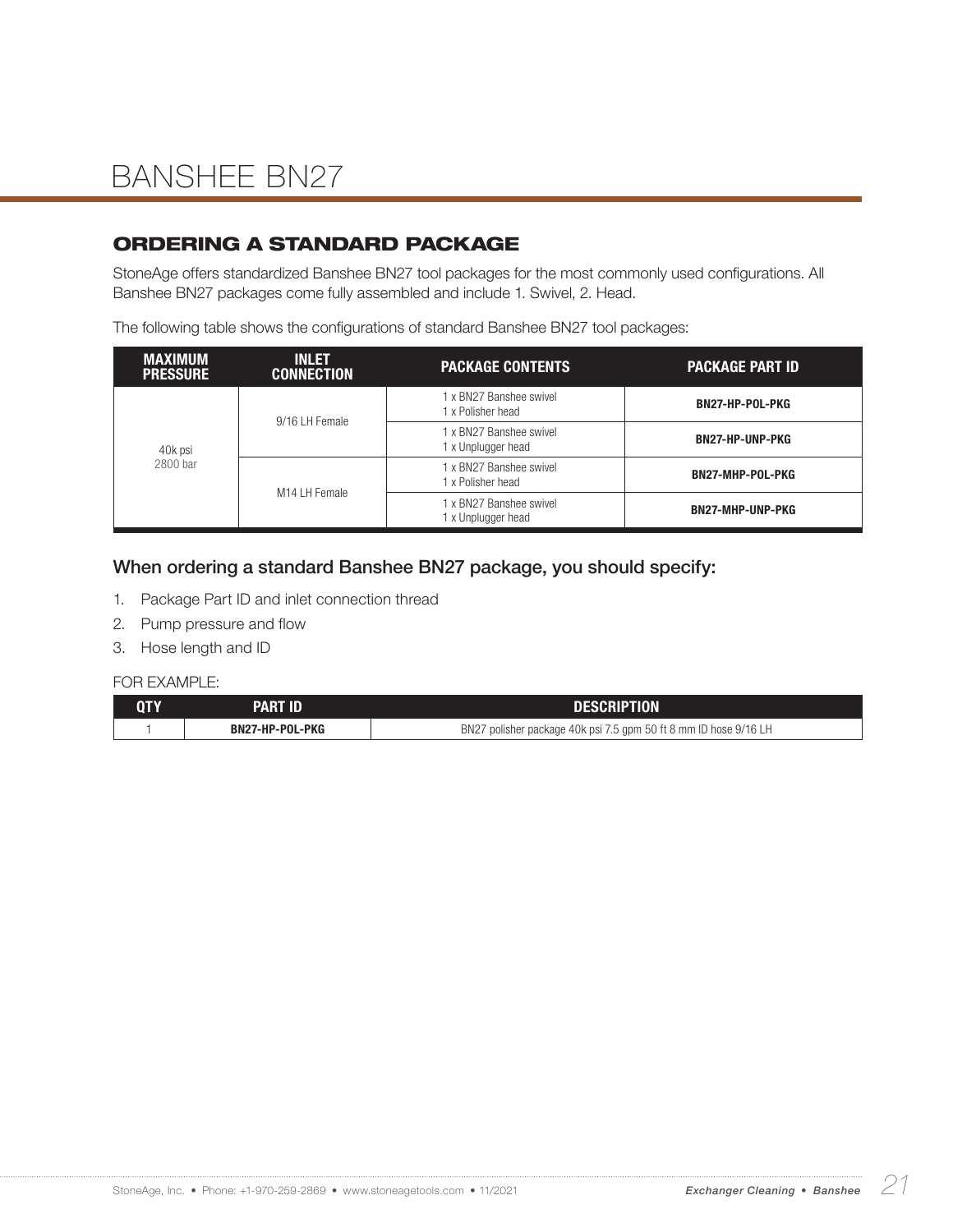### ORDERING A STANDARD PACKAGE

StoneAge offers standardized Banshee BN27 tool packages for the most commonly used configurations. All Banshee BN27 packages come fully assembled and include 1. Swivel, 2. Head.

The following table shows the configurations of standard Banshee BN27 tool packages:

| <b>MAXIMUM</b><br><b>PRESSURE</b> | <b>INLET</b><br><b>CONNECTION</b> | <b>PACKAGE CONTENTS</b>                       | <b>PACKAGE PART ID</b>  |  |
|-----------------------------------|-----------------------------------|-----------------------------------------------|-------------------------|--|
| 40k psi<br>2800 bar               | 9/16 LH Female                    | 1 x BN27 Banshee swivel<br>1 x Polisher head  | BN27-HP-POL-PKG         |  |
|                                   |                                   | 1 x BN27 Banshee swivel<br>1 x Unplugger head | <b>BN27-HP-UNP-PKG</b>  |  |
|                                   | M14 LH Female                     | 1 x BN27 Banshee swivel<br>1 x Polisher head  | BN27-MHP-POL-PKG        |  |
|                                   |                                   | 1 x BN27 Banshee swivel<br>1 x Unplugger head | <b>BN27-MHP-UNP-PKG</b> |  |

#### When ordering a standard Banshee BN27 package, you should specify:

- 1. Package Part ID and inlet connection thread
- 2. Pump pressure and flow
- 3. Hose length and ID

| <b>QTY</b> | PART ID         | <b>DESCRIPTION</b>                                               |
|------------|-----------------|------------------------------------------------------------------|
|            | BN27-HP-POL-PKG | BN27 polisher package 40k psi 7.5 gpm 50 ft 8 mm ID hose 9/16 LH |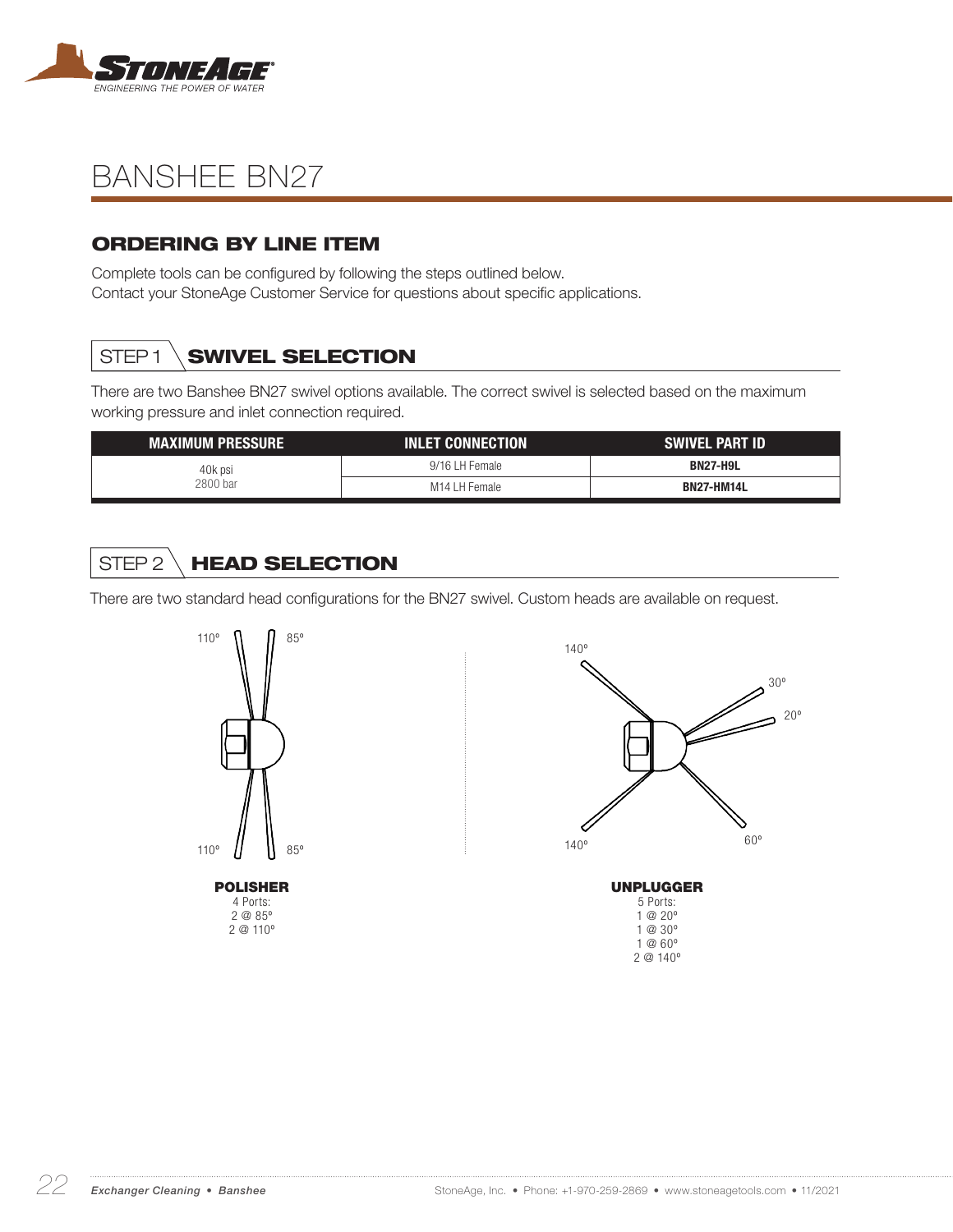

### ORDERING BY LINE ITEM

Complete tools can be configured by following the steps outlined below. Contact your StoneAge Customer Service for questions about specific applications.

## STEP1 **SWIVEL SELECTION**

There are two Banshee BN27 swivel options available. The correct swivel is selected based on the maximum working pressure and inlet connection required.

| MAXIMUM PRESSURE '  | <b>INLET CONNECTION</b> | <b>SWIVEL PART ID</b> |
|---------------------|-------------------------|-----------------------|
| 40k psi<br>2800 bar | 9/16 LH Female          | <b>BN27-H9L</b>       |
|                     | M14 LH Female           | <b>BN27-HM14L</b>     |

## STEP 2 HEAD SELECTION

There are two standard head configurations for the BN27 swivel. Custom heads are available on request.

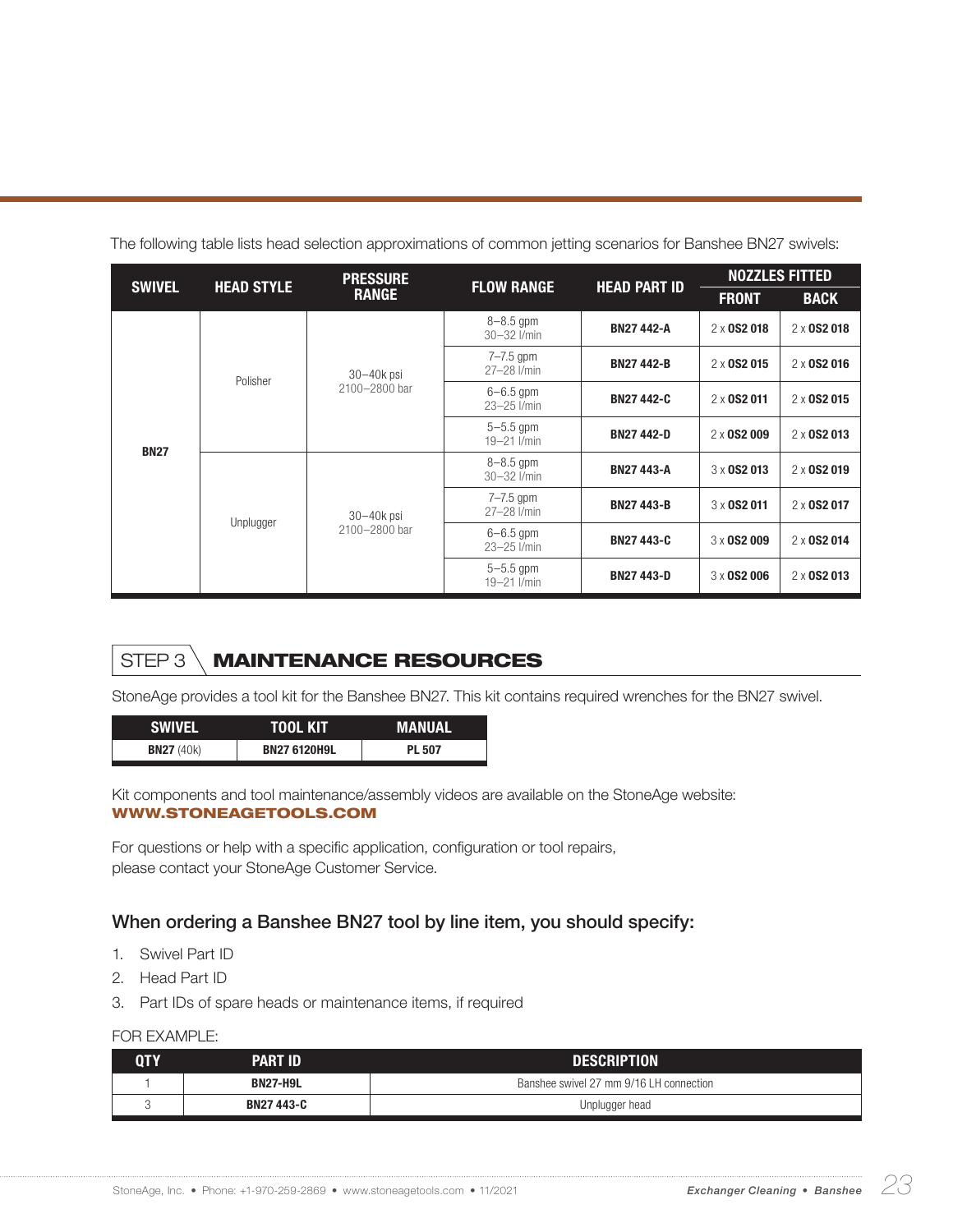|               | <b>HEAD STYLE</b> | <b>PRESSURE</b>                 | <b>FLOW RANGE</b>                | <b>HEAD PART ID</b> |                    | <b>NOZZLES FITTED</b> |  |
|---------------|-------------------|---------------------------------|----------------------------------|---------------------|--------------------|-----------------------|--|
| <b>SWIVEL</b> |                   | <b>RANGE</b>                    |                                  |                     | <b>FRONT</b>       | <b>BACK</b>           |  |
|               |                   |                                 | $8 - 8.5$ gpm<br>$30 - 32$ I/min | <b>BN27 442-A</b>   | 2 x 0 S 2 0 1 8    | 2 x 0 S 2 0 1 8       |  |
|               | Polisher          | $30 - 40k$ psi<br>2100-2800 bar | $7 - 7.5$ gpm<br>27-28 l/min     | <b>BN27 442-B</b>   | $2 \times$ 0S2 015 | $2 \times$ 0S2 016    |  |
|               |                   |                                 | $6 - 6.5$ gpm<br>$23 - 25$ I/min | <b>BN27442-C</b>    | $2 \times$ 0S2 011 | 2 x 0S2 015           |  |
|               |                   |                                 | $5 - 5.5$ gpm<br>19-21 I/min     | <b>BN27442-D</b>    | $2 \times$ 0S2 009 | 2 x 0S2 013           |  |
| <b>BN27</b>   |                   |                                 | $8 - 8.5$ gpm<br>$30 - 32$ I/min | <b>BN27443-A</b>    | 3 x 0S2 013        | $2 \times$ 0S2 019    |  |
|               |                   | $30 - 40k$ psi                  | $7 - 7.5$ gpm<br>27-28 l/min     | <b>BN27443-B</b>    | 3 x 0S2 011        | $2 \times$ 0S2 017    |  |
|               | Unplugger         | 2100-2800 bar                   | $6 - 6.5$ gpm<br>$23 - 25$ I/min | <b>BN27443-C</b>    | 3 x 0S2 009        | 2 x 0 S 2 0 1 4       |  |
|               |                   |                                 | $5 - 5.5$ gpm<br>19-21 I/min     | <b>BN27443-D</b>    | 3 x 0S2 006        | $2 \times$ 0S2 013    |  |

The following table lists head selection approximations of common jetting scenarios for Banshee BN27 swivels:

## STEP 3 MAINTENANCE RESOURCES

StoneAge provides a tool kit for the Banshee BN27. This kit contains required wrenches for the BN27 swivel.

| SWIVEL              | TOOL KIT            | <b>MANUAL</b> |
|---------------------|---------------------|---------------|
| <b>BN27</b> $(40k)$ | <b>BN27 6120H9L</b> | <b>PL 507</b> |

Kit components and tool maintenance/assembly videos are available on the StoneAge website: WWW.STONEAGETOOLS.COM

For questions or help with a specific application, configuration or tool repairs, please contact your StoneAge Customer Service.

#### When ordering a Banshee BN27 tool by line item, you should specify:

- 1. Swivel Part ID
- 2. Head Part ID
- 3. Part IDs of spare heads or maintenance items, if required

| QTY | <b>PART ID</b>   | <b>DESCRIPTION</b>                      |
|-----|------------------|-----------------------------------------|
|     | <b>BN27-H9L</b>  | Banshee swivel 27 mm 9/16 LH connection |
|     | <b>BN27443-C</b> | Unplugger head                          |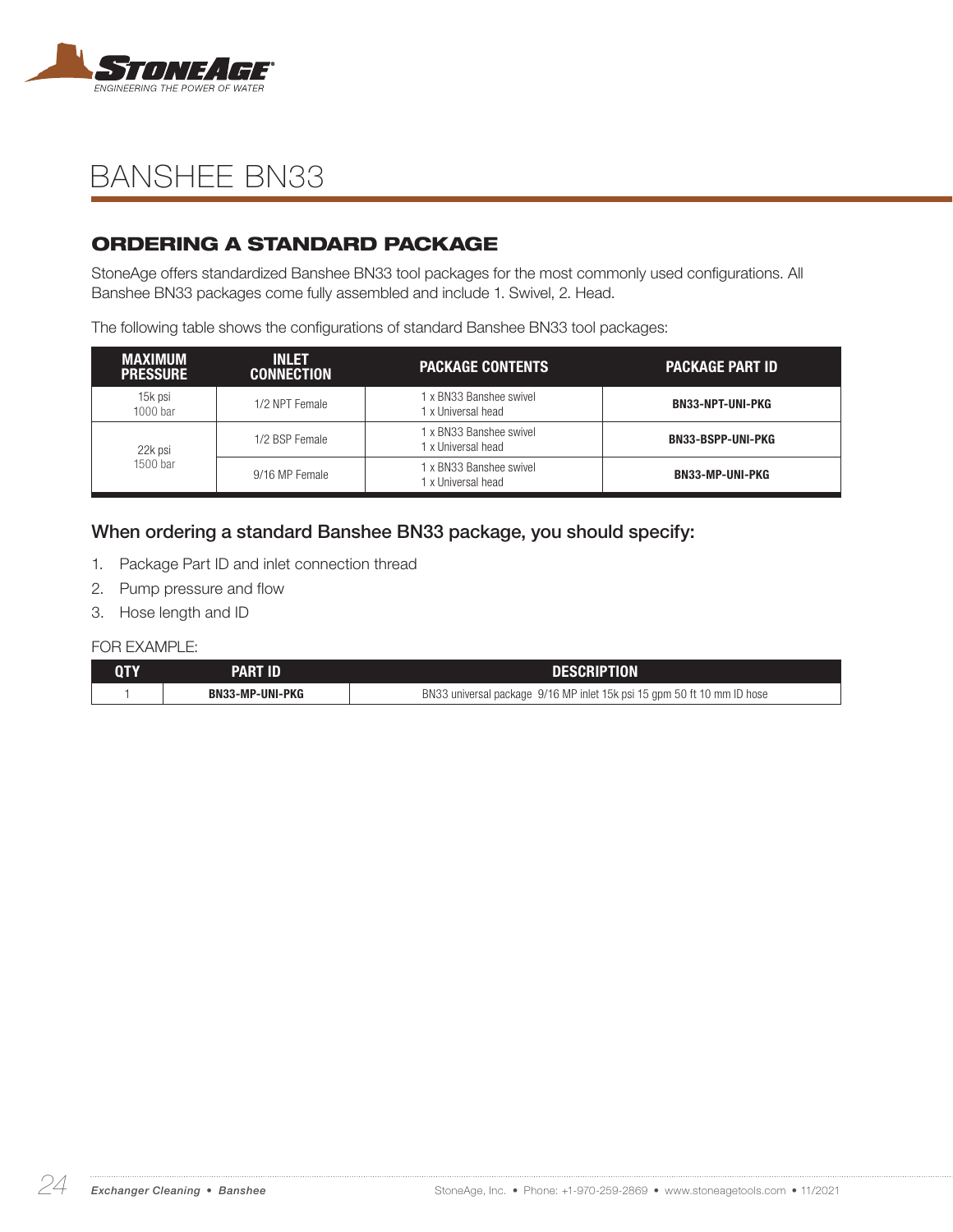

### ORDERING A STANDARD PACKAGE

StoneAge offers standardized Banshee BN33 tool packages for the most commonly used configurations. All Banshee BN33 packages come fully assembled and include 1. Swivel, 2. Head.

The following table shows the configurations of standard Banshee BN33 tool packages:

| <b>MAXIMUM</b><br><b>PRESSURE</b> | <b>INLET</b><br><b>CONNECTION</b> | <b>PACKAGE CONTENTS</b>                       | <b>PACKAGE PART ID</b>   |
|-----------------------------------|-----------------------------------|-----------------------------------------------|--------------------------|
| 15k psi<br>$1000$ bar             | 1/2 NPT Female                    | 1 x BN33 Banshee swivel<br>1 x Universal head | <b>BN33-NPT-UNI-PKG</b>  |
| 22k psi<br>1500 bar               | 1/2 BSP Female                    | 1 x BN33 Banshee swivel<br>1 x Universal head | <b>BN33-BSPP-UNI-PKG</b> |
|                                   | 9/16 MP Female                    | 1 x BN33 Banshee swivel<br>1 x Universal head | <b>BN33-MP-UNI-PKG</b>   |

#### When ordering a standard Banshee BN33 package, you should specify:

- 1. Package Part ID and inlet connection thread
- 2. Pump pressure and flow
- 3. Hose length and ID

| PART ID                | <b>DESCRIPTION</b>                                                      |
|------------------------|-------------------------------------------------------------------------|
| <b>BN33-MP-UNI-PKG</b> | BN33 universal package 9/16 MP inlet 15k psi 15 gpm 50 ft 10 mm ID hose |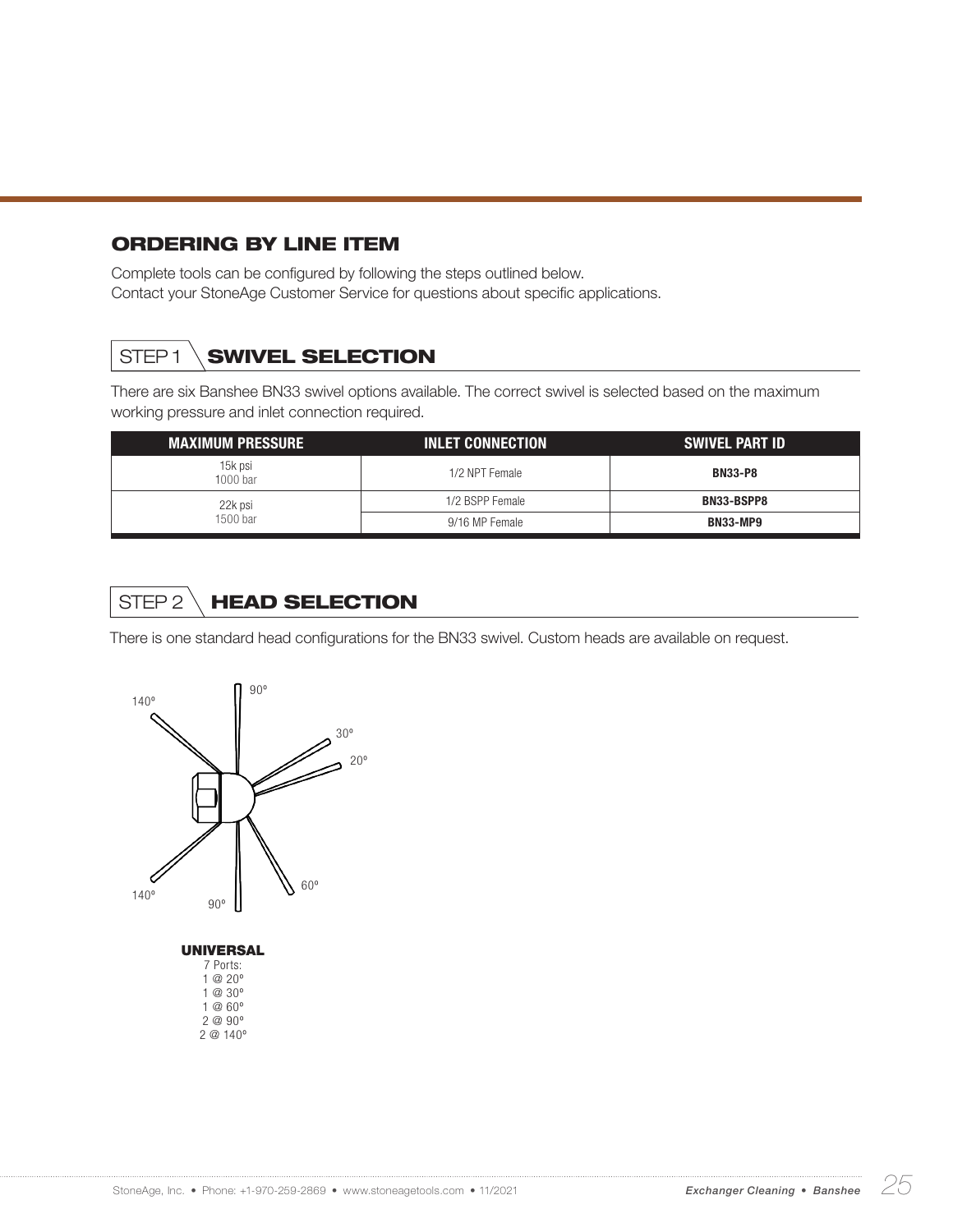#### ORDERING BY LINE ITEM

Complete tools can be configured by following the steps outlined below. Contact your StoneAge Customer Service for questions about specific applications.

## STEP1 **SWIVEL SELECTION**

There are six Banshee BN33 swivel options available. The correct swivel is selected based on the maximum working pressure and inlet connection required.

| <b>MAXIMUM PRESSURE</b> | <b>INLET CONNECTION</b> | SWIVEL PART ID    |
|-------------------------|-------------------------|-------------------|
| 15k psi<br>$1000$ bar   | 1/2 NPT Female          | <b>BN33-P8</b>    |
| 22k psi<br>1500 bar     | 1/2 BSPP Female         | <b>BN33-BSPP8</b> |
|                         | 9/16 MP Female          | <b>BN33-MP9</b>   |

## STEP 2 HEAD SELECTION

There is one standard head configurations for the BN33 swivel. Custom heads are available on request.